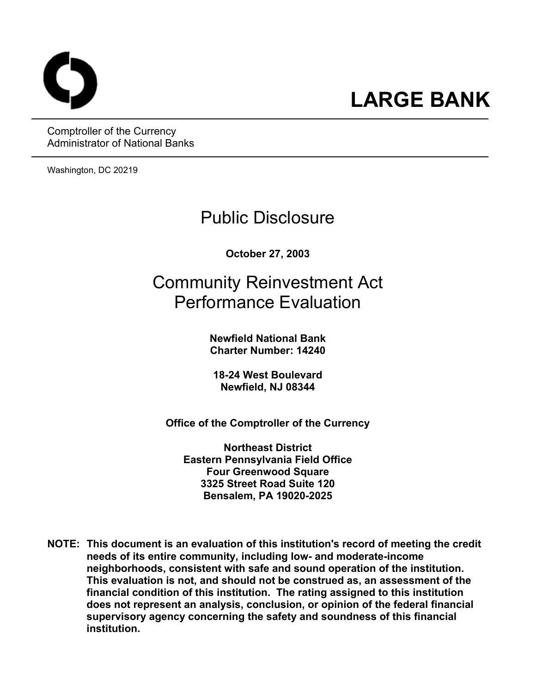Comptroller of the Currency Administrator of National Banks

Washington, DC 20219

## Public Disclosure

**October 27, 2003** 

# Community Reinvestment Act Performance Evaluation

**Newfield National Bank Charter Number: 14240** 

**18-24 West Boulevard Newfield, NJ 08344** 

**Office of the Comptroller of the Currency** 

**Northeast District Eastern Pennsylvania Field Office Four Greenwood Square 3325 Street Road Suite 120 Bensalem, PA 19020-2025** 

**NOTE: This document is an evaluation of this institution's record of meeting the credit needs of its entire community, including low- and moderate-income neighborhoods, consistent with safe and sound operation of the institution.** **This evaluation is not, and should not be construed as, an assessment of the financial condition of this institution. The rating assigned to this institution does not represent an analysis, conclusion, or opinion of the federal financial supervisory agency concerning the safety and soundness of this financial institution.**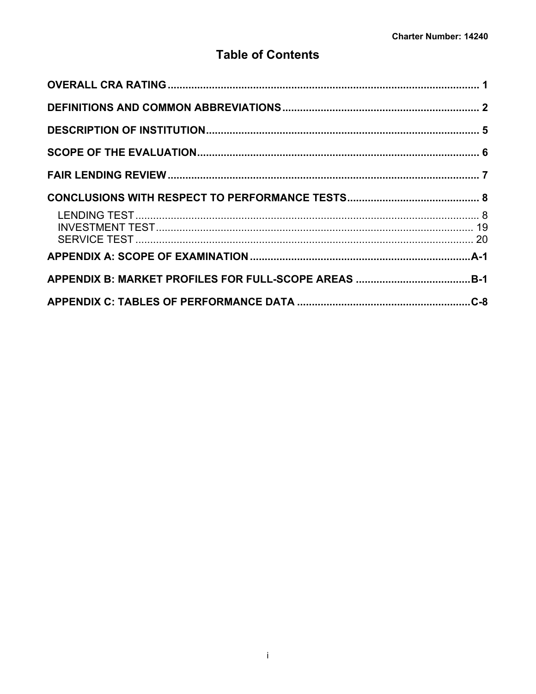## **Table of Contents**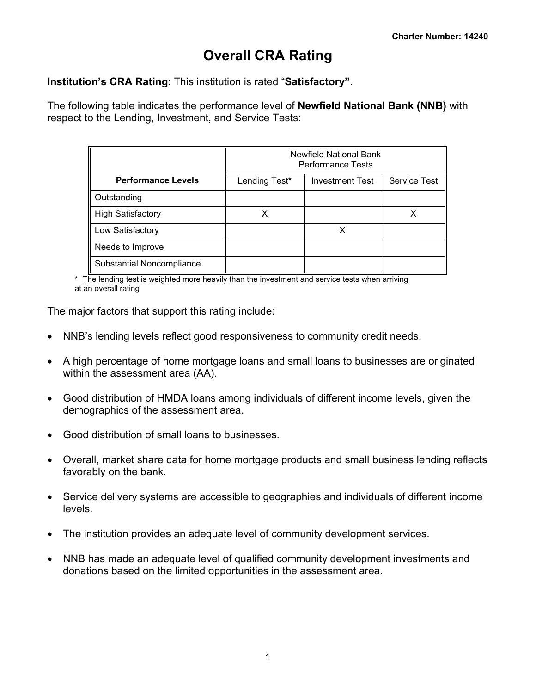## <span id="page-2-0"></span>**Overall CRA Rating**

**Institution's CRA Rating**: This institution is rated "**Satisfactory"**.

The following table indicates the performance level of **Newfield National Bank (NNB)** with respect to the Lending, Investment, and Service Tests:

|                                  | <b>Newfield National Bank</b><br><b>Performance Tests</b> |                        |                     |  |  |  |  |  |  |  |  |
|----------------------------------|-----------------------------------------------------------|------------------------|---------------------|--|--|--|--|--|--|--|--|
| <b>Performance Levels</b>        | Lending Test*                                             | <b>Investment Test</b> | <b>Service Test</b> |  |  |  |  |  |  |  |  |
| Outstanding                      |                                                           |                        |                     |  |  |  |  |  |  |  |  |
| <b>High Satisfactory</b>         |                                                           |                        |                     |  |  |  |  |  |  |  |  |
| Low Satisfactory                 |                                                           |                        |                     |  |  |  |  |  |  |  |  |
| Needs to Improve                 |                                                           |                        |                     |  |  |  |  |  |  |  |  |
| <b>Substantial Noncompliance</b> |                                                           |                        |                     |  |  |  |  |  |  |  |  |

\* The lending test is weighted more heavily than the investment and service tests when arriving at an overall rating

The major factors that support this rating include:

- NNB's lending levels reflect good responsiveness to community credit needs.
- A high percentage of home mortgage loans and small loans to businesses are originated within the assessment area (AA).
- Good distribution of HMDA loans among individuals of different income levels, given the demographics of the assessment area.
- Good distribution of small loans to businesses.
- Overall, market share data for home mortgage products and small business lending reflects favorably on the bank.
- Service delivery systems are accessible to geographies and individuals of different income levels.
- The institution provides an adequate level of community development services.
- NNB has made an adequate level of qualified community development investments and donations based on the limited opportunities in the assessment area.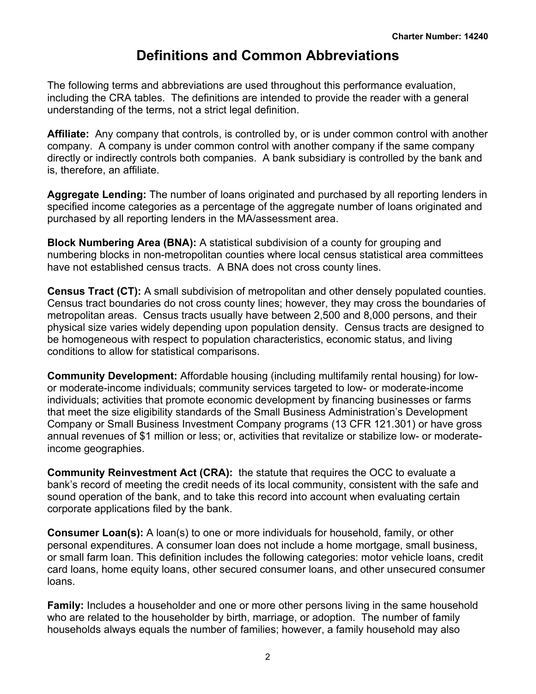## <span id="page-3-0"></span>**Definitions and Common Abbreviations**

The following terms and abbreviations are used throughout this performance evaluation, including the CRA tables. The definitions are intended to provide the reader with a general understanding of the terms, not a strict legal definition.

**Affiliate:** Any company that controls, is controlled by, or is under common control with another company. A company is under common control with another company if the same company directly or indirectly controls both companies. A bank subsidiary is controlled by the bank and is, therefore, an affiliate.

**Aggregate Lending:** The number of loans originated and purchased by all reporting lenders in specified income categories as a percentage of the aggregate number of loans originated and purchased by all reporting lenders in the MA/assessment area.

**Block Numbering Area (BNA):** A statistical subdivision of a county for grouping and numbering blocks in non-metropolitan counties where local census statistical area committees have not established census tracts. A BNA does not cross county lines.

**Census Tract (CT):** A small subdivision of metropolitan and other densely populated counties. Census tract boundaries do not cross county lines; however, they may cross the boundaries of metropolitan areas. Census tracts usually have between 2,500 and 8,000 persons, and their physical size varies widely depending upon population density. Census tracts are designed to be homogeneous with respect to population characteristics, economic status, and living conditions to allow for statistical comparisons.

**Community Development:** Affordable housing (including multifamily rental housing) for lowor moderate-income individuals; community services targeted to low- or moderate-income individuals; activities that promote economic development by financing businesses or farms that meet the size eligibility standards of the Small Business Administration's Development Company or Small Business Investment Company programs (13 CFR 121.301) or have gross annual revenues of \$1 million or less; or, activities that revitalize or stabilize low- or moderateincome geographies.

**Community Reinvestment Act (CRA):** the statute that requires the OCC to evaluate a bank's record of meeting the credit needs of its local community, consistent with the safe and sound operation of the bank, and to take this record into account when evaluating certain corporate applications filed by the bank.

**Consumer Loan(s):** A loan(s) to one or more individuals for household, family, or other personal expenditures. A consumer loan does not include a home mortgage, small business, or small farm loan. This definition includes the following categories: motor vehicle loans, credit card loans, home equity loans, other secured consumer loans, and other unsecured consumer loans.

**Family:** Includes a householder and one or more other persons living in the same household who are related to the householder by birth, marriage, or adoption. The number of family households always equals the number of families; however, a family household may also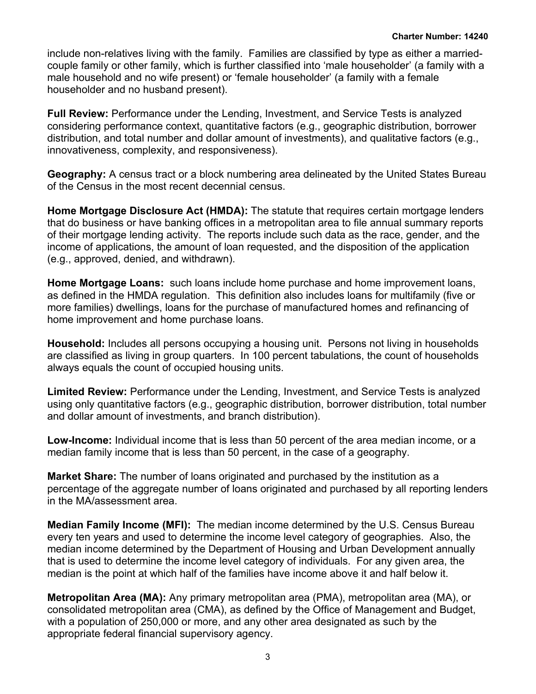include non-relatives living with the family. Families are classified by type as either a marriedcouple family or other family, which is further classified into 'male householder' (a family with a male household and no wife present) or 'female householder' (a family with a female householder and no husband present).

**Full Review:** Performance under the Lending, Investment, and Service Tests is analyzed considering performance context, quantitative factors (e.g., geographic distribution, borrower distribution, and total number and dollar amount of investments), and qualitative factors (e.g., innovativeness, complexity, and responsiveness).

**Geography:** A census tract or a block numbering area delineated by the United States Bureau of the Census in the most recent decennial census.

**Home Mortgage Disclosure Act (HMDA):** The statute that requires certain mortgage lenders that do business or have banking offices in a metropolitan area to file annual summary reports of their mortgage lending activity. The reports include such data as the race, gender, and the income of applications, the amount of loan requested, and the disposition of the application (e.g., approved, denied, and withdrawn).

**Home Mortgage Loans:** such loans include home purchase and home improvement loans, as defined in the HMDA regulation. This definition also includes loans for multifamily (five or more families) dwellings, loans for the purchase of manufactured homes and refinancing of home improvement and home purchase loans.

**Household:** Includes all persons occupying a housing unit. Persons not living in households are classified as living in group quarters. In 100 percent tabulations, the count of households always equals the count of occupied housing units.

**Limited Review:** Performance under the Lending, Investment, and Service Tests is analyzed using only quantitative factors (e.g., geographic distribution, borrower distribution, total number and dollar amount of investments, and branch distribution).

**Low-Income:** Individual income that is less than 50 percent of the area median income, or a median family income that is less than 50 percent, in the case of a geography.

**Market Share:** The number of loans originated and purchased by the institution as a percentage of the aggregate number of loans originated and purchased by all reporting lenders in the MA/assessment area.

**Median Family Income (MFI):** The median income determined by the U.S. Census Bureau every ten years and used to determine the income level category of geographies. Also, the median income determined by the Department of Housing and Urban Development annually that is used to determine the income level category of individuals. For any given area, the median is the point at which half of the families have income above it and half below it.

**Metropolitan Area (MA):** Any primary metropolitan area (PMA), metropolitan area (MA), or consolidated metropolitan area (CMA), as defined by the Office of Management and Budget, with a population of 250,000 or more, and any other area designated as such by the appropriate federal financial supervisory agency.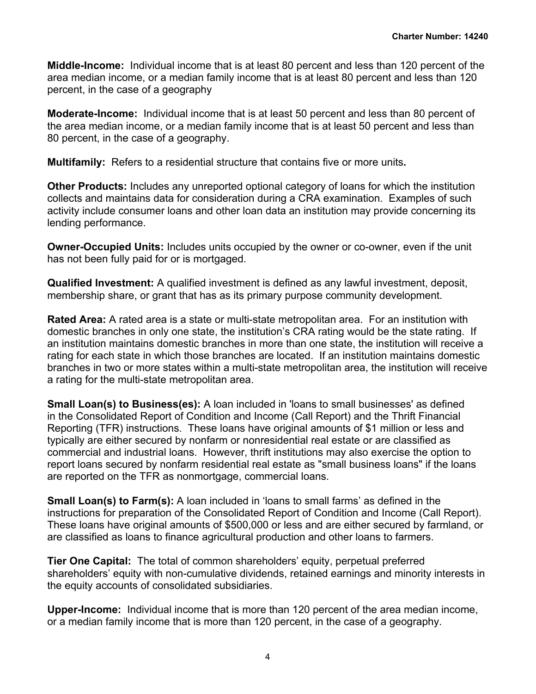**Middle-Income:** Individual income that is at least 80 percent and less than 120 percent of the area median income, or a median family income that is at least 80 percent and less than 120 percent, in the case of a geography

**Moderate-Income:** Individual income that is at least 50 percent and less than 80 percent of the area median income, or a median family income that is at least 50 percent and less than 80 percent, in the case of a geography.

**Multifamily:** Refers to a residential structure that contains five or more units**.**

**Other Products:** Includes any unreported optional category of loans for which the institution collects and maintains data for consideration during a CRA examination. Examples of such activity include consumer loans and other loan data an institution may provide concerning its lending performance.

**Owner-Occupied Units:** Includes units occupied by the owner or co-owner, even if the unit has not been fully paid for or is mortgaged.

**Qualified Investment:** A qualified investment is defined as any lawful investment, deposit, membership share, or grant that has as its primary purpose community development.

**Rated Area:** A rated area is a state or multi-state metropolitan area. For an institution with domestic branches in only one state, the institution's CRA rating would be the state rating. If an institution maintains domestic branches in more than one state, the institution will receive a rating for each state in which those branches are located. If an institution maintains domestic branches in two or more states within a multi-state metropolitan area, the institution will receive a rating for the multi-state metropolitan area.

**Small Loan(s) to Business(es):** A loan included in 'loans to small businesses' as defined in the Consolidated Report of Condition and Income (Call Report) and the Thrift Financial Reporting (TFR) instructions. These loans have original amounts of \$1 million or less and typically are either secured by nonfarm or nonresidential real estate or are classified as commercial and industrial loans. However, thrift institutions may also exercise the option to report loans secured by nonfarm residential real estate as "small business loans" if the loans are reported on the TFR as nonmortgage, commercial loans.

**Small Loan(s) to Farm(s):** A loan included in 'loans to small farms' as defined in the instructions for preparation of the Consolidated Report of Condition and Income (Call Report). These loans have original amounts of \$500,000 or less and are either secured by farmland, or are classified as loans to finance agricultural production and other loans to farmers.

**Tier One Capital:** The total of common shareholders' equity, perpetual preferred shareholders' equity with non-cumulative dividends, retained earnings and minority interests in the equity accounts of consolidated subsidiaries.

**Upper-Income:** Individual income that is more than 120 percent of the area median income, or a median family income that is more than 120 percent, in the case of a geography.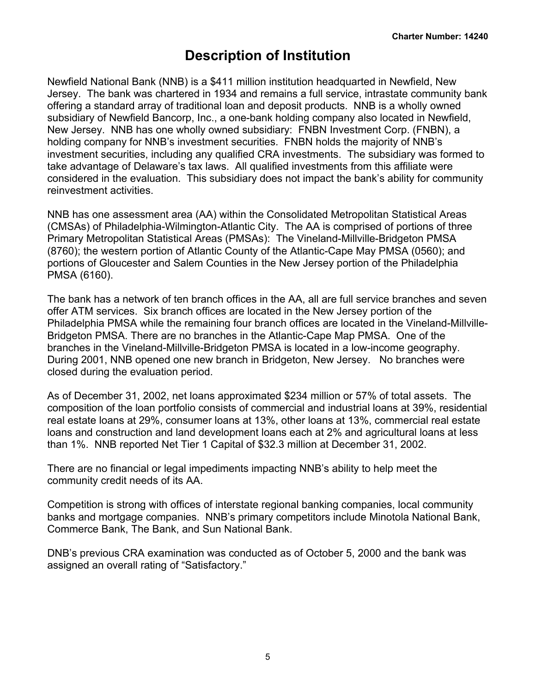## <span id="page-6-0"></span>**Description of Institution**

Newfield National Bank (NNB) is a \$411 million institution headquarted in Newfield, New Jersey. The bank was chartered in 1934 and remains a full service, intrastate community bank offering a standard array of traditional loan and deposit products. NNB is a wholly owned subsidiary of Newfield Bancorp, Inc., a one-bank holding company also located in Newfield, New Jersey. NNB has one wholly owned subsidiary: FNBN Investment Corp. (FNBN), a holding company for NNB's investment securities. FNBN holds the majority of NNB's investment securities, including any qualified CRA investments. The subsidiary was formed to take advantage of Delaware's tax laws. All qualified investments from this affiliate were considered in the evaluation. This subsidiary does not impact the bank's ability for community reinvestment activities.

NNB has one assessment area (AA) within the Consolidated Metropolitan Statistical Areas (CMSAs) of Philadelphia-Wilmington-Atlantic City. The AA is comprised of portions of three Primary Metropolitan Statistical Areas (PMSAs): The Vineland-Millville-Bridgeton PMSA (8760); the western portion of Atlantic County of the Atlantic-Cape May PMSA (0560); and portions of Gloucester and Salem Counties in the New Jersey portion of the Philadelphia PMSA (6160).

The bank has a network of ten branch offices in the AA, all are full service branches and seven offer ATM services. Six branch offices are located in the New Jersey portion of the Philadelphia PMSA while the remaining four branch offices are located in the Vineland-Millville-Bridgeton PMSA. There are no branches in the Atlantic-Cape Map PMSA. One of the branches in the Vineland-Millville-Bridgeton PMSA is located in a low-income geography. During 2001, NNB opened one new branch in Bridgeton, New Jersey. No branches were closed during the evaluation period.

As of December 31, 2002, net loans approximated \$234 million or 57% of total assets. The composition of the loan portfolio consists of commercial and industrial loans at 39%, residential real estate loans at 29%, consumer loans at 13%, other loans at 13%, commercial real estate loans and construction and land development loans each at 2% and agricultural loans at less than 1%. NNB reported Net Tier 1 Capital of \$32.3 million at December 31, 2002.

There are no financial or legal impediments impacting NNB's ability to help meet the community credit needs of its AA.

Competition is strong with offices of interstate regional banking companies, local community banks and mortgage companies. NNB's primary competitors include Minotola National Bank, Commerce Bank, The Bank, and Sun National Bank.

DNB's previous CRA examination was conducted as of October 5, 2000 and the bank was assigned an overall rating of "Satisfactory."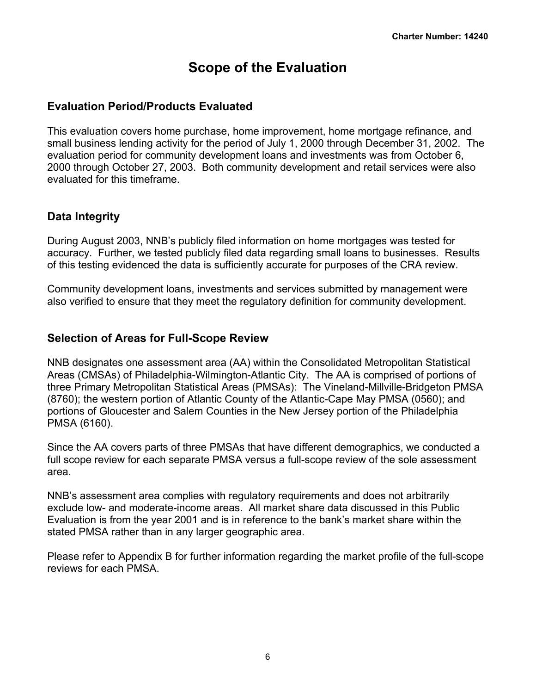## <span id="page-7-0"></span>**Scope of the Evaluation**

## **Evaluation Period/Products Evaluated**

This evaluation covers home purchase, home improvement, home mortgage refinance, and small business lending activity for the period of July 1, 2000 through December 31, 2002. The evaluation period for community development loans and investments was from October 6, 2000 through October 27, 2003. Both community development and retail services were also evaluated for this timeframe.

## **Data Integrity**

During August 2003, NNB's publicly filed information on home mortgages was tested for accuracy. Further, we tested publicly filed data regarding small loans to businesses. Results of this testing evidenced the data is sufficiently accurate for purposes of the CRA review.

Community development loans, investments and services submitted by management were also verified to ensure that they meet the regulatory definition for community development.

## **Selection of Areas for Full-Scope Review**

NNB designates one assessment area (AA) within the Consolidated Metropolitan Statistical Areas (CMSAs) of Philadelphia-Wilmington-Atlantic City. The AA is comprised of portions of three Primary Metropolitan Statistical Areas (PMSAs): The Vineland-Millville-Bridgeton PMSA (8760); the western portion of Atlantic County of the Atlantic-Cape May PMSA (0560); and portions of Gloucester and Salem Counties in the New Jersey portion of the Philadelphia PMSA (6160).

Since the AA covers parts of three PMSAs that have different demographics, we conducted a full scope review for each separate PMSA versus a full-scope review of the sole assessment area.

NNB's assessment area complies with regulatory requirements and does not arbitrarily exclude low- and moderate-income areas. All market share data discussed in this Public Evaluation is from the year 2001 and is in reference to the bank's market share within the stated PMSA rather than in any larger geographic area.

Please refer to Appendix B for further information regarding the market profile of the full-scope reviews for each PMSA.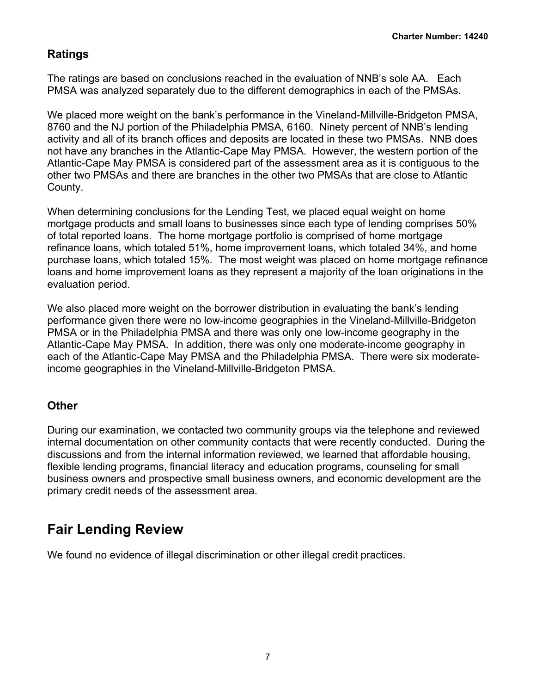## **Ratings**

The ratings are based on conclusions reached in the evaluation of NNB's sole AA. Each PMSA was analyzed separately due to the different demographics in each of the PMSAs.

We placed more weight on the bank's performance in the Vineland-Millville-Bridgeton PMSA, 8760 and the NJ portion of the Philadelphia PMSA, 6160. Ninety percent of NNB's lending activity and all of its branch offices and deposits are located in these two PMSAs. NNB does not have any branches in the Atlantic-Cape May PMSA. However, the western portion of the Atlantic-Cape May PMSA is considered part of the assessment area as it is contiguous to the other two PMSAs and there are branches in the other two PMSAs that are close to Atlantic County.

When determining conclusions for the Lending Test, we placed equal weight on home mortgage products and small loans to businesses since each type of lending comprises 50% of total reported loans. The home mortgage portfolio is comprised of home mortgage refinance loans, which totaled 51%, home improvement loans, which totaled 34%, and home purchase loans, which totaled 15%. The most weight was placed on home mortgage refinance loans and home improvement loans as they represent a majority of the loan originations in the evaluation period.

We also placed more weight on the borrower distribution in evaluating the bank's lending performance given there were no low-income geographies in the Vineland-Millville-Bridgeton PMSA or in the Philadelphia PMSA and there was only one low-income geography in the Atlantic-Cape May PMSA. In addition, there was only one moderate-income geography in each of the Atlantic-Cape May PMSA and the Philadelphia PMSA. There were six moderateincome geographies in the Vineland-Millville-Bridgeton PMSA.

## **Other**

During our examination, we contacted two community groups via the telephone and reviewed internal documentation on other community contacts that were recently conducted. During the discussions and from the internal information reviewed, we learned that affordable housing, flexible lending programs, financial literacy and education programs, counseling for small business owners and prospective small business owners, and economic development are the primary credit needs of the assessment area.

## <span id="page-8-0"></span>**Fair Lending Review**

We found no evidence of illegal discrimination or other illegal credit practices.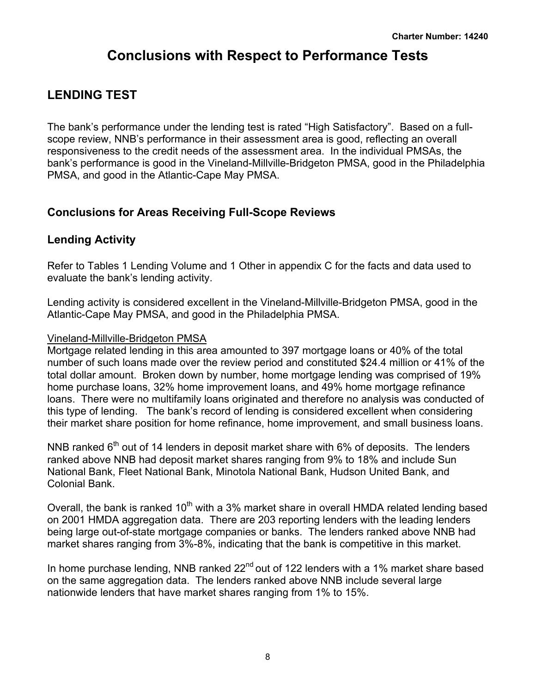## <span id="page-9-0"></span>**Conclusions with Respect to Performance Tests**

## <span id="page-9-1"></span>**LENDING TEST**

The bank's performance under the lending test is rated "High Satisfactory". Based on a fullscope review, NNB's performance in their assessment area is good, reflecting an overall responsiveness to the credit needs of the assessment area. In the individual PMSAs, the bank's performance is good in the Vineland-Millville-Bridgeton PMSA, good in the Philadelphia PMSA, and good in the Atlantic-Cape May PMSA.

## **Conclusions for Areas Receiving Full-Scope Reviews**

## **Lending Activity**

Refer to Tables 1 Lending Volume and 1 Other in appendix C for the facts and data used to evaluate the bank's lending activity.

Lending activity is considered excellent in the Vineland-Millville-Bridgeton PMSA, good in the Atlantic-Cape May PMSA, and good in the Philadelphia PMSA.

### Vineland-Millville-Bridgeton PMSA

Mortgage related lending in this area amounted to 397 mortgage loans or 40% of the total number of such loans made over the review period and constituted \$24.4 million or 41% of the total dollar amount. Broken down by number, home mortgage lending was comprised of 19% home purchase loans, 32% home improvement loans, and 49% home mortgage refinance loans. There were no multifamily loans originated and therefore no analysis was conducted of this type of lending. The bank's record of lending is considered excellent when considering their market share position for home refinance, home improvement, and small business loans.

NNB ranked  $6<sup>th</sup>$  out of 14 lenders in deposit market share with 6% of deposits. The lenders ranked above NNB had deposit market shares ranging from 9% to 18% and include Sun National Bank, Fleet National Bank, Minotola National Bank, Hudson United Bank, and Colonial Bank.

Overall, the bank is ranked  $10<sup>th</sup>$  with a 3% market share in overall HMDA related lending based on 2001 HMDA aggregation data. There are 203 reporting lenders with the leading lenders being large out-of-state mortgage companies or banks. The lenders ranked above NNB had market shares ranging from 3%-8%, indicating that the bank is competitive in this market.

In home purchase lending, NNB ranked  $22<sup>nd</sup>$  out of 122 lenders with a 1% market share based on the same aggregation data. The lenders ranked above NNB include several large nationwide lenders that have market shares ranging from 1% to 15%.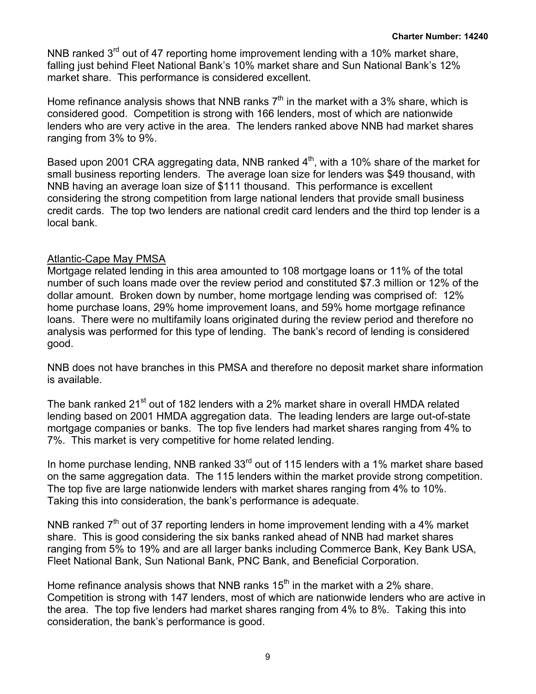NNB ranked  $3<sup>rd</sup>$  out of 47 reporting home improvement lending with a 10% market share, falling just behind Fleet National Bank's 10% market share and Sun National Bank's 12% market share. This performance is considered excellent.

Home refinance analysis shows that NNB ranks  $7<sup>th</sup>$  in the market with a 3% share, which is considered good. Competition is strong with 166 lenders, most of which are nationwide lenders who are very active in the area. The lenders ranked above NNB had market shares ranging from 3% to 9%.

Based upon 2001 CRA aggregating data, NNB ranked  $4<sup>th</sup>$ , with a 10% share of the market for small business reporting lenders. The average loan size for lenders was \$49 thousand, with NNB having an average loan size of \$111 thousand. This performance is excellent considering the strong competition from large national lenders that provide small business credit cards. The top two lenders are national credit card lenders and the third top lender is a local bank.

## Atlantic-Cape May PMSA

Mortgage related lending in this area amounted to 108 mortgage loans or 11% of the total number of such loans made over the review period and constituted \$7.3 million or 12% of the dollar amount. Broken down by number, home mortgage lending was comprised of: 12% home purchase loans, 29% home improvement loans, and 59% home mortgage refinance loans. There were no multifamily loans originated during the review period and therefore no analysis was performed for this type of lending. The bank's record of lending is considered good.

NNB does not have branches in this PMSA and therefore no deposit market share information is available.

The bank ranked 21<sup>st</sup> out of 182 lenders with a 2% market share in overall HMDA related lending based on 2001 HMDA aggregation data. The leading lenders are large out-of-state mortgage companies or banks. The top five lenders had market shares ranging from 4% to 7%. This market is very competitive for home related lending.

In home purchase lending, NNB ranked 33<sup>rd</sup> out of 115 lenders with a 1% market share based on the same aggregation data. The 115 lenders within the market provide strong competition. The top five are large nationwide lenders with market shares ranging from 4% to 10%. Taking this into consideration, the bank's performance is adequate.

NNB ranked  $7<sup>th</sup>$  out of 37 reporting lenders in home improvement lending with a 4% market share. This is good considering the six banks ranked ahead of NNB had market shares ranging from 5% to 19% and are all larger banks including Commerce Bank, Key Bank USA, Fleet National Bank, Sun National Bank, PNC Bank, and Beneficial Corporation.

Home refinance analysis shows that NNB ranks  $15<sup>th</sup>$  in the market with a 2% share. Competition is strong with 147 lenders, most of which are nationwide lenders who are active in the area. The top five lenders had market shares ranging from 4% to 8%. Taking this into consideration, the bank's performance is good.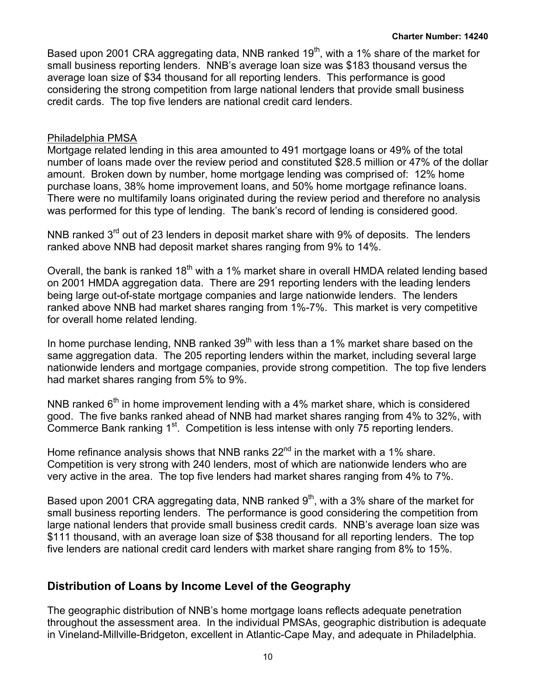Based upon 2001 CRA aggregating data, NNB ranked  $19<sup>th</sup>$ , with a 1% share of the market for small business reporting lenders. NNB's average loan size was \$183 thousand versus the average loan size of \$34 thousand for all reporting lenders. This performance is good considering the strong competition from large national lenders that provide small business credit cards. The top five lenders are national credit card lenders.

### Philadelphia PMSA

Mortgage related lending in this area amounted to 491 mortgage loans or 49% of the total number of loans made over the review period and constituted \$28.5 million or 47% of the dollar amount. Broken down by number, home mortgage lending was comprised of: 12% home purchase loans, 38% home improvement loans, and 50% home mortgage refinance loans. There were no multifamily loans originated during the review period and therefore no analysis was performed for this type of lending. The bank's record of lending is considered good.

NNB ranked  $3<sup>rd</sup>$  out of 23 lenders in deposit market share with 9% of deposits. The lenders ranked above NNB had deposit market shares ranging from 9% to 14%.

Overall, the bank is ranked  $18<sup>th</sup>$  with a 1% market share in overall HMDA related lending based on 2001 HMDA aggregation data. There are 291 reporting lenders with the leading lenders being large out-of-state mortgage companies and large nationwide lenders. The lenders ranked above NNB had market shares ranging from 1%-7%. This market is very competitive for overall home related lending.

In home purchase lending, NNB ranked  $39<sup>th</sup>$  with less than a 1% market share based on the same aggregation data. The 205 reporting lenders within the market, including several large nationwide lenders and mortgage companies, provide strong competition. The top five lenders had market shares ranging from 5% to 9%.

NNB ranked  $6<sup>th</sup>$  in home improvement lending with a 4% market share, which is considered good. The five banks ranked ahead of NNB had market shares ranging from 4% to 32%, with Commerce Bank ranking 1<sup>st</sup>. Competition is less intense with only 75 reporting lenders.

Home refinance analysis shows that NNB ranks  $22<sup>nd</sup>$  in the market with a 1% share. Competition is very strong with 240 lenders, most of which are nationwide lenders who are very active in the area. The top five lenders had market shares ranging from 4% to 7%.

Based upon 2001 CRA aggregating data, NNB ranked  $9<sup>th</sup>$ , with a 3% share of the market for small business reporting lenders. The performance is good considering the competition from large national lenders that provide small business credit cards. NNB's average loan size was \$111 thousand, with an average loan size of \$38 thousand for all reporting lenders. The top five lenders are national credit card lenders with market share ranging from 8% to 15%.

## **Distribution of Loans by Income Level of the Geography**

The geographic distribution of NNB's home mortgage loans reflects adequate penetration throughout the assessment area. In the individual PMSAs, geographic distribution is adequate in Vineland-Millville-Bridgeton, excellent in Atlantic-Cape May, and adequate in Philadelphia.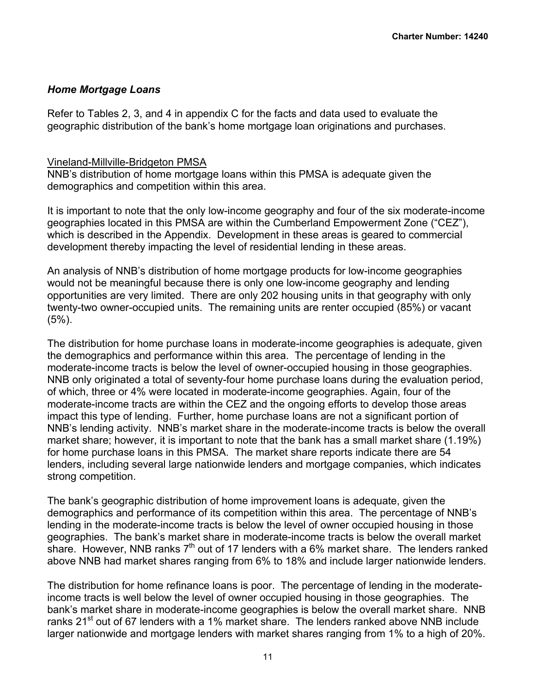### *Home Mortgage Loans*

Refer to Tables 2, 3, and 4 in appendix C for the facts and data used to evaluate the geographic distribution of the bank's home mortgage loan originations and purchases.

#### Vineland-Millville-Bridgeton PMSA

NNB's distribution of home mortgage loans within this PMSA is adequate given the demographics and competition within this area.

It is important to note that the only low-income geography and four of the six moderate-income geographies located in this PMSA are within the Cumberland Empowerment Zone ("CEZ"), which is described in the Appendix. Development in these areas is geared to commercial development thereby impacting the level of residential lending in these areas.

An analysis of NNB's distribution of home mortgage products for low-income geographies would not be meaningful because there is only one low-income geography and lending opportunities are very limited. There are only 202 housing units in that geography with only twenty-two owner-occupied units. The remaining units are renter occupied (85%) or vacant  $(5\%)$ .

The distribution for home purchase loans in moderate-income geographies is adequate, given the demographics and performance within this area. The percentage of lending in the moderate-income tracts is below the level of owner-occupied housing in those geographies. NNB only originated a total of seventy-four home purchase loans during the evaluation period, of which, three or 4% were located in moderate-income geographies. Again, four of the moderate-income tracts are within the CEZ and the ongoing efforts to develop those areas impact this type of lending. Further, home purchase loans are not a significant portion of NNB's lending activity. NNB's market share in the moderate-income tracts is below the overall market share; however, it is important to note that the bank has a small market share (1.19%) for home purchase loans in this PMSA. The market share reports indicate there are 54 lenders, including several large nationwide lenders and mortgage companies, which indicates strong competition.

The bank's geographic distribution of home improvement loans is adequate, given the demographics and performance of its competition within this area. The percentage of NNB's lending in the moderate-income tracts is below the level of owner occupied housing in those geographies. The bank's market share in moderate-income tracts is below the overall market share. However, NNB ranks  $7<sup>th</sup>$  out of 17 lenders with a 6% market share. The lenders ranked above NNB had market shares ranging from 6% to 18% and include larger nationwide lenders.

The distribution for home refinance loans is poor. The percentage of lending in the moderateincome tracts is well below the level of owner occupied housing in those geographies. The bank's market share in moderate-income geographies is below the overall market share. NNB ranks 21<sup>st</sup> out of 67 lenders with a 1% market share. The lenders ranked above NNB include larger nationwide and mortgage lenders with market shares ranging from 1% to a high of 20%.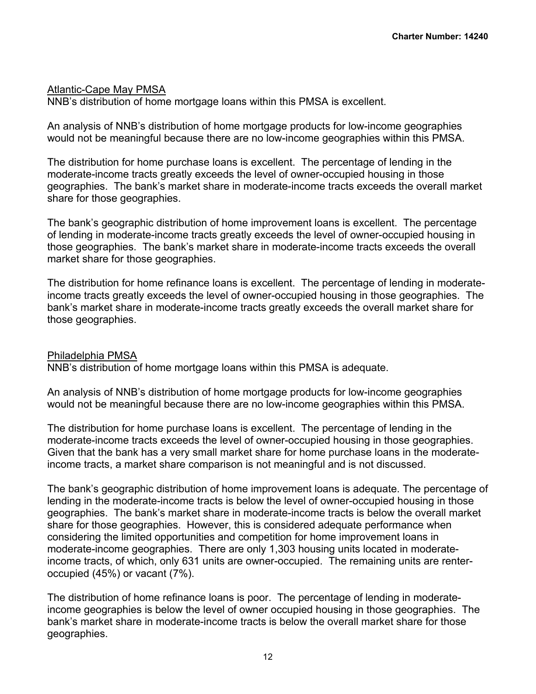### Atlantic-Cape May PMSA

NNB's distribution of home mortgage loans within this PMSA is excellent.

An analysis of NNB's distribution of home mortgage products for low-income geographies would not be meaningful because there are no low-income geographies within this PMSA.

The distribution for home purchase loans is excellent. The percentage of lending in the moderate-income tracts greatly exceeds the level of owner-occupied housing in those geographies. The bank's market share in moderate-income tracts exceeds the overall market share for those geographies.

The bank's geographic distribution of home improvement loans is excellent. The percentage of lending in moderate-income tracts greatly exceeds the level of owner-occupied housing in those geographies. The bank's market share in moderate-income tracts exceeds the overall market share for those geographies.

The distribution for home refinance loans is excellent. The percentage of lending in moderateincome tracts greatly exceeds the level of owner-occupied housing in those geographies. The bank's market share in moderate-income tracts greatly exceeds the overall market share for those geographies.

### Philadelphia PMSA

NNB's distribution of home mortgage loans within this PMSA is adequate.

An analysis of NNB's distribution of home mortgage products for low-income geographies would not be meaningful because there are no low-income geographies within this PMSA.

The distribution for home purchase loans is excellent. The percentage of lending in the moderate-income tracts exceeds the level of owner-occupied housing in those geographies. Given that the bank has a very small market share for home purchase loans in the moderateincome tracts, a market share comparison is not meaningful and is not discussed.

The bank's geographic distribution of home improvement loans is adequate. The percentage of lending in the moderate-income tracts is below the level of owner-occupied housing in those geographies. The bank's market share in moderate-income tracts is below the overall market share for those geographies. However, this is considered adequate performance when considering the limited opportunities and competition for home improvement loans in moderate-income geographies. There are only 1,303 housing units located in moderateincome tracts, of which, only 631 units are owner-occupied. The remaining units are renteroccupied (45%) or vacant (7%).

The distribution of home refinance loans is poor. The percentage of lending in moderateincome geographies is below the level of owner occupied housing in those geographies. The bank's market share in moderate-income tracts is below the overall market share for those geographies.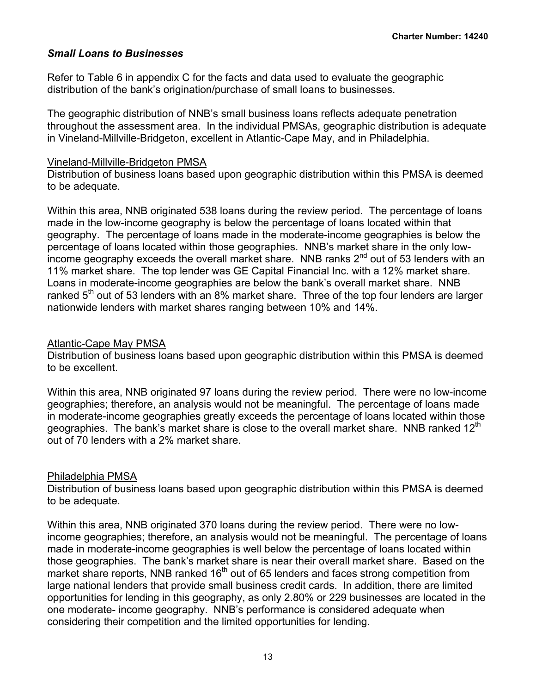### *Small Loans to Businesses*

Refer to Table 6 in appendix C for the facts and data used to evaluate the geographic distribution of the bank's origination/purchase of small loans to businesses.

The geographic distribution of NNB's small business loans reflects adequate penetration throughout the assessment area. In the individual PMSAs, geographic distribution is adequate in Vineland-Millville-Bridgeton, excellent in Atlantic-Cape May, and in Philadelphia.

#### Vineland-Millville-Bridgeton PMSA

Distribution of business loans based upon geographic distribution within this PMSA is deemed to be adequate.

Within this area, NNB originated 538 loans during the review period. The percentage of loans made in the low-income geography is below the percentage of loans located within that geography. The percentage of loans made in the moderate-income geographies is below the percentage of loans located within those geographies. NNB's market share in the only lowincome geography exceeds the overall market share. NNB ranks  $2<sup>nd</sup>$  out of 53 lenders with an 11% market share. The top lender was GE Capital Financial Inc. with a 12% market share. Loans in moderate-income geographies are below the bank's overall market share. NNB ranked  $5<sup>th</sup>$  out of 53 lenders with an 8% market share. Three of the top four lenders are larger nationwide lenders with market shares ranging between 10% and 14%.

### Atlantic-Cape May PMSA

Distribution of business loans based upon geographic distribution within this PMSA is deemed to be excellent.

Within this area, NNB originated 97 loans during the review period. There were no low-income geographies; therefore, an analysis would not be meaningful. The percentage of loans made in moderate-income geographies greatly exceeds the percentage of loans located within those geographies. The bank's market share is close to the overall market share. NNB ranked  $12^{\text{th}}$ out of 70 lenders with a 2% market share.

## Philadelphia PMSA

Distribution of business loans based upon geographic distribution within this PMSA is deemed to be adequate.

Within this area, NNB originated 370 loans during the review period. There were no lowincome geographies; therefore, an analysis would not be meaningful. The percentage of loans made in moderate-income geographies is well below the percentage of loans located within those geographies. The bank's market share is near their overall market share. Based on the market share reports, NNB ranked 16<sup>th</sup> out of 65 lenders and faces strong competition from large national lenders that provide small business credit cards. In addition, there are limited opportunities for lending in this geography, as only 2.80% or 229 businesses are located in the one moderate- income geography. NNB's performance is considered adequate when considering their competition and the limited opportunities for lending.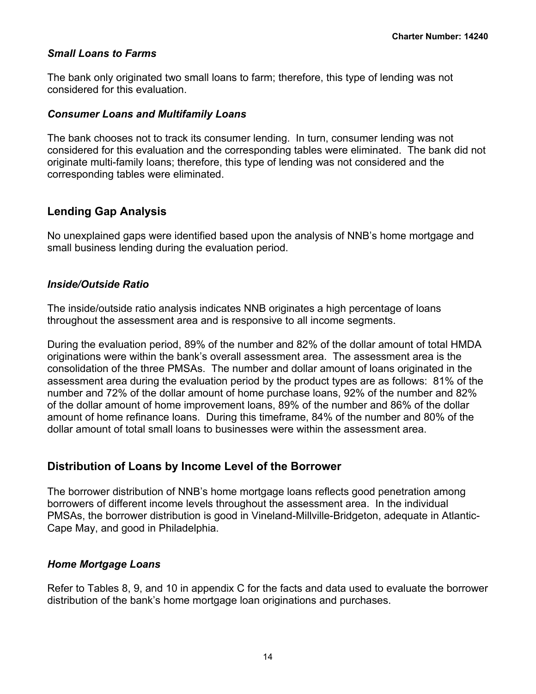### *Small Loans to Farms*

The bank only originated two small loans to farm; therefore, this type of lending was not considered for this evaluation.

#### *Consumer Loans and Multifamily Loans*

The bank chooses not to track its consumer lending. In turn, consumer lending was not considered for this evaluation and the corresponding tables were eliminated. The bank did not originate multi-family loans; therefore, this type of lending was not considered and the corresponding tables were eliminated.

## **Lending Gap Analysis**

No unexplained gaps were identified based upon the analysis of NNB's home mortgage and small business lending during the evaluation period.

### *Inside/Outside Ratio*

The inside/outside ratio analysis indicates NNB originates a high percentage of loans throughout the assessment area and is responsive to all income segments.

During the evaluation period, 89% of the number and 82% of the dollar amount of total HMDA originations were within the bank's overall assessment area. The assessment area is the consolidation of the three PMSAs. The number and dollar amount of loans originated in the assessment area during the evaluation period by the product types are as follows: 81% of the number and 72% of the dollar amount of home purchase loans, 92% of the number and 82% of the dollar amount of home improvement loans, 89% of the number and 86% of the dollar amount of home refinance loans. During this timeframe, 84% of the number and 80% of the dollar amount of total small loans to businesses were within the assessment area.

## **Distribution of Loans by Income Level of the Borrower**

The borrower distribution of NNB's home mortgage loans reflects good penetration among borrowers of different income levels throughout the assessment area. In the individual PMSAs, the borrower distribution is good in Vineland-Millville-Bridgeton, adequate in Atlantic-Cape May, and good in Philadelphia.

### *Home Mortgage Loans*

Refer to Tables 8, 9, and 10 in appendix C for the facts and data used to evaluate the borrower distribution of the bank's home mortgage loan originations and purchases.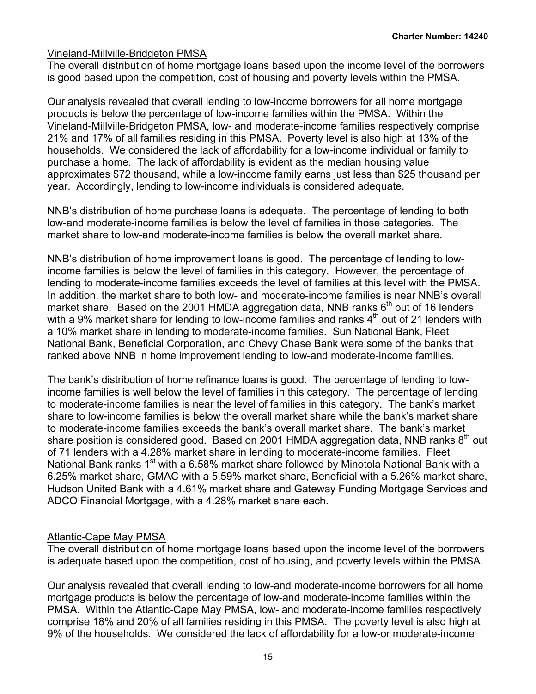### Vineland-Millville-Bridgeton PMSA

The overall distribution of home mortgage loans based upon the income level of the borrowers is good based upon the competition, cost of housing and poverty levels within the PMSA.

Our analysis revealed that overall lending to low-income borrowers for all home mortgage products is below the percentage of low-income families within the PMSA. Within the Vineland-Millville-Bridgeton PMSA, low- and moderate-income families respectively comprise 21% and 17% of all families residing in this PMSA. Poverty level is also high at 13% of the households. We considered the lack of affordability for a low-income individual or family to purchase a home. The lack of affordability is evident as the median housing value approximates \$72 thousand, while a low-income family earns just less than \$25 thousand per year. Accordingly, lending to low-income individuals is considered adequate.

NNB's distribution of home purchase loans is adequate. The percentage of lending to both low-and moderate-income families is below the level of families in those categories. The market share to low-and moderate-income families is below the overall market share.

NNB's distribution of home improvement loans is good. The percentage of lending to lowincome families is below the level of families in this category. However, the percentage of lending to moderate-income families exceeds the level of families at this level with the PMSA. In addition, the market share to both low- and moderate-income families is near NNB's overall market share. Based on the 2001 HMDA aggregation data, NNB ranks  $6<sup>th</sup>$  out of 16 lenders with a 9% market share for lending to low-income families and ranks  $4<sup>th</sup>$  out of 21 lenders with a 10% market share in lending to moderate-income families. Sun National Bank, Fleet National Bank, Beneficial Corporation, and Chevy Chase Bank were some of the banks that ranked above NNB in home improvement lending to low-and moderate-income families.

The bank's distribution of home refinance loans is good. The percentage of lending to lowincome families is well below the level of families in this category. The percentage of lending to moderate-income families is near the level of families in this category. The bank's market share to low-income families is below the overall market share while the bank's market share to moderate-income families exceeds the bank's overall market share. The bank's market share position is considered good. Based on 2001 HMDA aggregation data, NNB ranks 8<sup>th</sup> out of 71 lenders with a 4.28% market share in lending to moderate-income families. Fleet National Bank ranks 1<sup>st</sup> with a 6.58% market share followed by Minotola National Bank with a 6.25% market share, GMAC with a 5.59% market share, Beneficial with a 5.26% market share, Hudson United Bank with a 4.61% market share and Gateway Funding Mortgage Services and ADCO Financial Mortgage, with a 4.28% market share each.

### Atlantic-Cape May PMSA

The overall distribution of home mortgage loans based upon the income level of the borrowers is adequate based upon the competition, cost of housing, and poverty levels within the PMSA.

Our analysis revealed that overall lending to low-and moderate-income borrowers for all home mortgage products is below the percentage of low-and moderate-income families within the PMSA. Within the Atlantic-Cape May PMSA, low- and moderate-income families respectively comprise 18% and 20% of all families residing in this PMSA. The poverty level is also high at 9% of the households. We considered the lack of affordability for a low-or moderate-income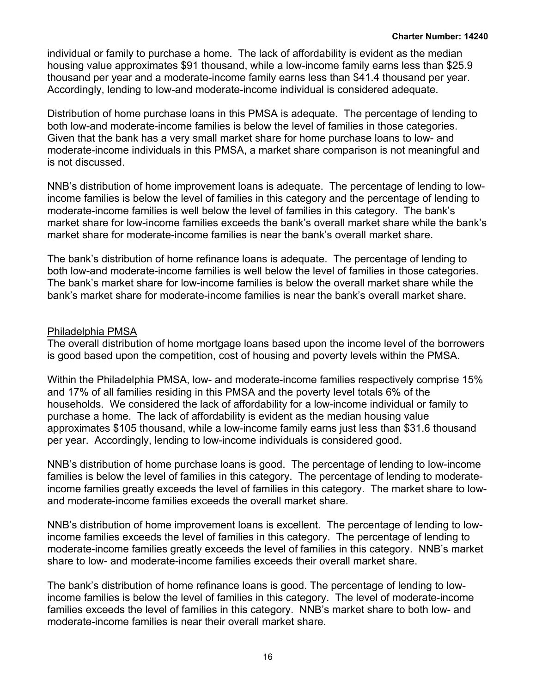individual or family to purchase a home. The lack of affordability is evident as the median housing value approximates \$91 thousand, while a low-income family earns less than \$25.9 thousand per year and a moderate-income family earns less than \$41.4 thousand per year. Accordingly, lending to low-and moderate-income individual is considered adequate.

Distribution of home purchase loans in this PMSA is adequate. The percentage of lending to both low-and moderate-income families is below the level of families in those categories. Given that the bank has a very small market share for home purchase loans to low- and moderate-income individuals in this PMSA, a market share comparison is not meaningful and is not discussed.

NNB's distribution of home improvement loans is adequate. The percentage of lending to lowincome families is below the level of families in this category and the percentage of lending to moderate-income families is well below the level of families in this category. The bank's market share for low-income families exceeds the bank's overall market share while the bank's market share for moderate-income families is near the bank's overall market share.

The bank's distribution of home refinance loans is adequate. The percentage of lending to both low-and moderate-income families is well below the level of families in those categories. The bank's market share for low-income families is below the overall market share while the bank's market share for moderate-income families is near the bank's overall market share.

### Philadelphia PMSA

The overall distribution of home mortgage loans based upon the income level of the borrowers is good based upon the competition, cost of housing and poverty levels within the PMSA.

Within the Philadelphia PMSA, low- and moderate-income families respectively comprise 15% and 17% of all families residing in this PMSA and the poverty level totals 6% of the households. We considered the lack of affordability for a low-income individual or family to purchase a home. The lack of affordability is evident as the median housing value approximates \$105 thousand, while a low-income family earns just less than \$31.6 thousand per year. Accordingly, lending to low-income individuals is considered good.

NNB's distribution of home purchase loans is good. The percentage of lending to low-income families is below the level of families in this category. The percentage of lending to moderateincome families greatly exceeds the level of families in this category. The market share to lowand moderate-income families exceeds the overall market share.

NNB's distribution of home improvement loans is excellent. The percentage of lending to lowincome families exceeds the level of families in this category. The percentage of lending to moderate-income families greatly exceeds the level of families in this category. NNB's market share to low- and moderate-income families exceeds their overall market share.

The bank's distribution of home refinance loans is good. The percentage of lending to lowincome families is below the level of families in this category. The level of moderate-income families exceeds the level of families in this category. NNB's market share to both low- and moderate-income families is near their overall market share.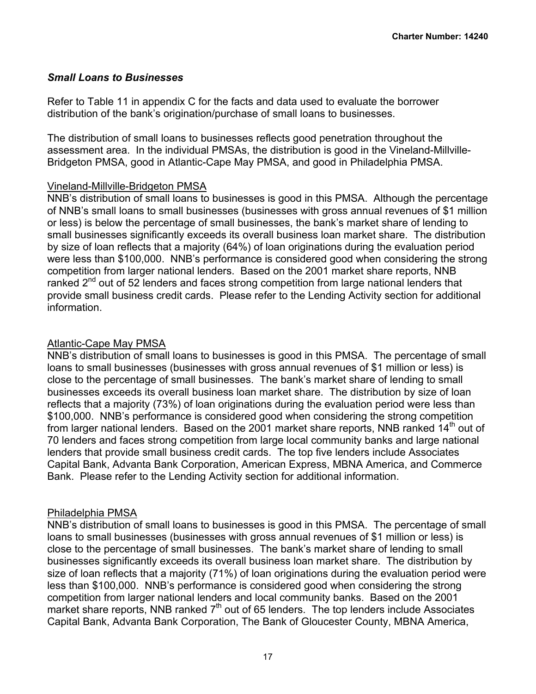## *Small Loans to Businesses*

Refer to Table 11 in appendix C for the facts and data used to evaluate the borrower distribution of the bank's origination/purchase of small loans to businesses.

The distribution of small loans to businesses reflects good penetration throughout the assessment area. In the individual PMSAs, the distribution is good in the Vineland-Millville-Bridgeton PMSA, good in Atlantic-Cape May PMSA, and good in Philadelphia PMSA.

## Vineland-Millville-Bridgeton PMSA

NNB's distribution of small loans to businesses is good in this PMSA. Although the percentage of NNB's small loans to small businesses (businesses with gross annual revenues of \$1 million or less) is below the percentage of small businesses, the bank's market share of lending to small businesses significantly exceeds its overall business loan market share. The distribution by size of loan reflects that a majority (64%) of loan originations during the evaluation period were less than \$100,000. NNB's performance is considered good when considering the strong competition from larger national lenders. Based on the 2001 market share reports, NNB ranked  $2^{nd}$  out of 52 lenders and faces strong competition from large national lenders that provide small business credit cards. Please refer to the Lending Activity section for additional information.

## Atlantic-Cape May PMSA

NNB's distribution of small loans to businesses is good in this PMSA. The percentage of small loans to small businesses (businesses with gross annual revenues of \$1 million or less) is close to the percentage of small businesses. The bank's market share of lending to small businesses exceeds its overall business loan market share. The distribution by size of loan reflects that a majority (73%) of loan originations during the evaluation period were less than \$100,000. NNB's performance is considered good when considering the strong competition from larger national lenders. Based on the 2001 market share reports, NNB ranked 14<sup>th</sup> out of 70 lenders and faces strong competition from large local community banks and large national lenders that provide small business credit cards. The top five lenders include Associates Capital Bank, Advanta Bank Corporation, American Express, MBNA America, and Commerce Bank. Please refer to the Lending Activity section for additional information.

## Philadelphia PMSA

NNB's distribution of small loans to businesses is good in this PMSA. The percentage of small loans to small businesses (businesses with gross annual revenues of \$1 million or less) is close to the percentage of small businesses. The bank's market share of lending to small businesses significantly exceeds its overall business loan market share. The distribution by size of loan reflects that a majority (71%) of loan originations during the evaluation period were less than \$100,000. NNB's performance is considered good when considering the strong competition from larger national lenders and local community banks. Based on the 2001 market share reports, NNB ranked  $7<sup>th</sup>$  out of 65 lenders. The top lenders include Associates Capital Bank, Advanta Bank Corporation, The Bank of Gloucester County, MBNA America,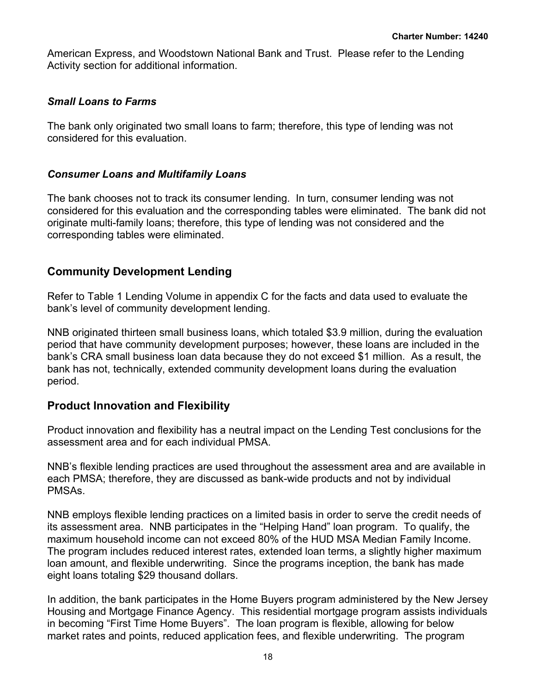American Express, and Woodstown National Bank and Trust. Please refer to the Lending Activity section for additional information.

## *Small Loans to Farms*

The bank only originated two small loans to farm; therefore, this type of lending was not considered for this evaluation.

### *Consumer Loans and Multifamily Loans*

The bank chooses not to track its consumer lending. In turn, consumer lending was not considered for this evaluation and the corresponding tables were eliminated. The bank did not originate multi-family loans; therefore, this type of lending was not considered and the corresponding tables were eliminated.

## **Community Development Lending**

Refer to Table 1 Lending Volume in appendix C for the facts and data used to evaluate the bank's level of community development lending.

NNB originated thirteen small business loans, which totaled \$3.9 million, during the evaluation period that have community development purposes; however, these loans are included in the bank's CRA small business loan data because they do not exceed \$1 million. As a result, the bank has not, technically, extended community development loans during the evaluation period.

## **Product Innovation and Flexibility**

Product innovation and flexibility has a neutral impact on the Lending Test conclusions for the assessment area and for each individual PMSA.

NNB's flexible lending practices are used throughout the assessment area and are available in each PMSA; therefore, they are discussed as bank-wide products and not by individual PMSAs.

NNB employs flexible lending practices on a limited basis in order to serve the credit needs of its assessment area. NNB participates in the "Helping Hand" loan program. To qualify, the maximum household income can not exceed 80% of the HUD MSA Median Family Income. The program includes reduced interest rates, extended loan terms, a slightly higher maximum loan amount, and flexible underwriting. Since the programs inception, the bank has made eight loans totaling \$29 thousand dollars.

In addition, the bank participates in the Home Buyers program administered by the New Jersey Housing and Mortgage Finance Agency. This residential mortgage program assists individuals in becoming "First Time Home Buyers". The loan program is flexible, allowing for below market rates and points, reduced application fees, and flexible underwriting. The program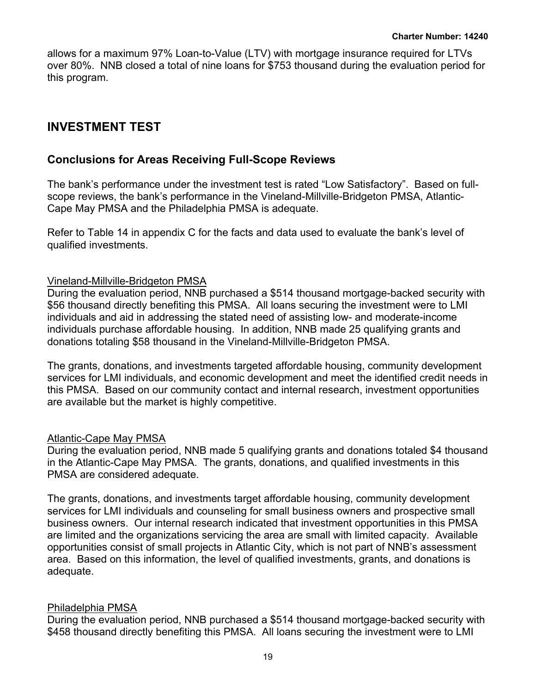allows for a maximum 97% Loan-to-Value (LTV) with mortgage insurance required for LTVs over 80%. NNB closed a total of nine loans for \$753 thousand during the evaluation period for this program.

## <span id="page-20-0"></span>**INVESTMENT TEST**

## **Conclusions for Areas Receiving Full-Scope Reviews**

The bank's performance under the investment test is rated "Low Satisfactory". Based on fullscope reviews, the bank's performance in the Vineland-Millville-Bridgeton PMSA, Atlantic-Cape May PMSA and the Philadelphia PMSA is adequate.

Refer to Table 14 in appendix C for the facts and data used to evaluate the bank's level of qualified investments.

### Vineland-Millville-Bridgeton PMSA

During the evaluation period, NNB purchased a \$514 thousand mortgage-backed security with \$56 thousand directly benefiting this PMSA. All loans securing the investment were to LMI individuals and aid in addressing the stated need of assisting low- and moderate-income individuals purchase affordable housing. In addition, NNB made 25 qualifying grants and donations totaling \$58 thousand in the Vineland-Millville-Bridgeton PMSA.

The grants, donations, and investments targeted affordable housing, community development services for LMI individuals, and economic development and meet the identified credit needs in this PMSA. Based on our community contact and internal research, investment opportunities are available but the market is highly competitive.

### Atlantic-Cape May PMSA

During the evaluation period, NNB made 5 qualifying grants and donations totaled \$4 thousand in the Atlantic-Cape May PMSA. The grants, donations, and qualified investments in this PMSA are considered adequate.

The grants, donations, and investments target affordable housing, community development services for LMI individuals and counseling for small business owners and prospective small business owners. Our internal research indicated that investment opportunities in this PMSA are limited and the organizations servicing the area are small with limited capacity. Available opportunities consist of small projects in Atlantic City, which is not part of NNB's assessment area. Based on this information, the level of qualified investments, grants, and donations is adequate.

### Philadelphia PMSA

During the evaluation period, NNB purchased a \$514 thousand mortgage-backed security with \$458 thousand directly benefiting this PMSA. All loans securing the investment were to LMI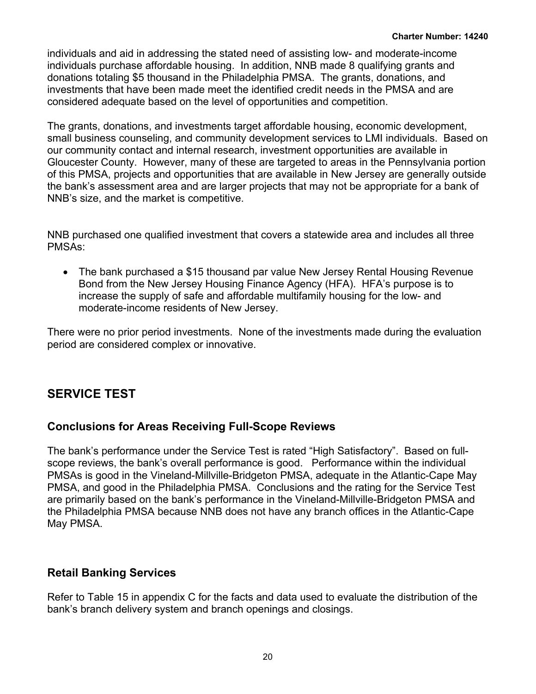individuals and aid in addressing the stated need of assisting low- and moderate-income individuals purchase affordable housing. In addition, NNB made 8 qualifying grants and donations totaling \$5 thousand in the Philadelphia PMSA. The grants, donations, and investments that have been made meet the identified credit needs in the PMSA and are considered adequate based on the level of opportunities and competition.

The grants, donations, and investments target affordable housing, economic development, small business counseling, and community development services to LMI individuals. Based on our community contact and internal research, investment opportunities are available in Gloucester County. However, many of these are targeted to areas in the Pennsylvania portion of this PMSA, projects and opportunities that are available in New Jersey are generally outside the bank's assessment area and are larger projects that may not be appropriate for a bank of NNB's size, and the market is competitive.

NNB purchased one qualified investment that covers a statewide area and includes all three PMSAs:

• The bank purchased a \$15 thousand par value New Jersey Rental Housing Revenue Bond from the New Jersey Housing Finance Agency (HFA). HFA's purpose is to increase the supply of safe and affordable multifamily housing for the low- and moderate-income residents of New Jersey.

There were no prior period investments. None of the investments made during the evaluation period are considered complex or innovative.

## <span id="page-21-0"></span>**SERVICE TEST**

## **Conclusions for Areas Receiving Full-Scope Reviews**

The bank's performance under the Service Test is rated "High Satisfactory". Based on fullscope reviews, the bank's overall performance is good. Performance within the individual PMSAs is good in the Vineland-Millville-Bridgeton PMSA, adequate in the Atlantic-Cape May PMSA, and good in the Philadelphia PMSA. Conclusions and the rating for the Service Test are primarily based on the bank's performance in the Vineland-Millville-Bridgeton PMSA and the Philadelphia PMSA because NNB does not have any branch offices in the Atlantic-Cape May PMSA.

## **Retail Banking Services**

Refer to Table 15 in appendix C for the facts and data used to evaluate the distribution of the bank's branch delivery system and branch openings and closings.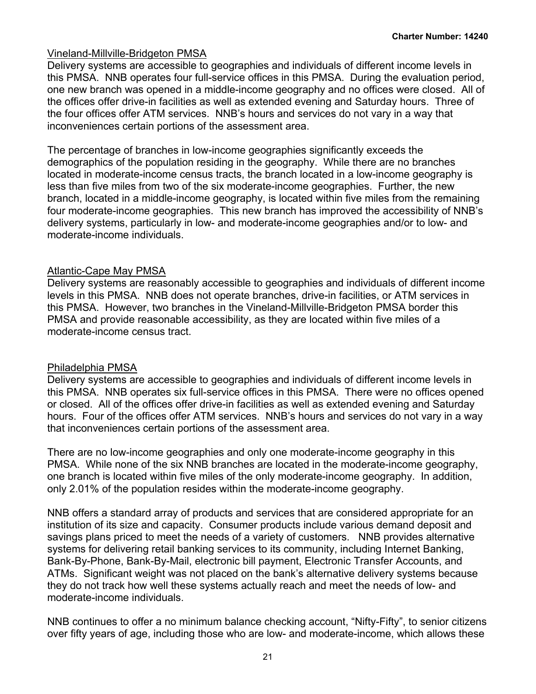### Vineland-Millville-Bridgeton PMSA

Delivery systems are accessible to geographies and individuals of different income levels in this PMSA. NNB operates four full-service offices in this PMSA. During the evaluation period, one new branch was opened in a middle-income geography and no offices were closed. All of the offices offer drive-in facilities as well as extended evening and Saturday hours. Three of the four offices offer ATM services. NNB's hours and services do not vary in a way that inconveniences certain portions of the assessment area.

The percentage of branches in low-income geographies significantly exceeds the demographics of the population residing in the geography. While there are no branches located in moderate-income census tracts, the branch located in a low-income geography is less than five miles from two of the six moderate-income geographies. Further, the new branch, located in a middle-income geography, is located within five miles from the remaining four moderate-income geographies. This new branch has improved the accessibility of NNB's delivery systems, particularly in low- and moderate-income geographies and/or to low- and moderate-income individuals.

### Atlantic-Cape May PMSA

Delivery systems are reasonably accessible to geographies and individuals of different income levels in this PMSA. NNB does not operate branches, drive-in facilities, or ATM services in this PMSA. However, two branches in the Vineland-Millville-Bridgeton PMSA border this PMSA and provide reasonable accessibility, as they are located within five miles of a moderate-income census tract.

### Philadelphia PMSA

Delivery systems are accessible to geographies and individuals of different income levels in this PMSA. NNB operates six full-service offices in this PMSA. There were no offices opened or closed. All of the offices offer drive-in facilities as well as extended evening and Saturday hours. Four of the offices offer ATM services. NNB's hours and services do not vary in a way that inconveniences certain portions of the assessment area.

There are no low-income geographies and only one moderate-income geography in this PMSA. While none of the six NNB branches are located in the moderate-income geography, one branch is located within five miles of the only moderate-income geography. In addition, only 2.01% of the population resides within the moderate-income geography.

NNB offers a standard array of products and services that are considered appropriate for an institution of its size and capacity. Consumer products include various demand deposit and savings plans priced to meet the needs of a variety of customers. NNB provides alternative systems for delivering retail banking services to its community, including Internet Banking, Bank-By-Phone, Bank-By-Mail, electronic bill payment, Electronic Transfer Accounts, and ATMs. Significant weight was not placed on the bank's alternative delivery systems because they do not track how well these systems actually reach and meet the needs of low- and moderate-income individuals.

NNB continues to offer a no minimum balance checking account, "Nifty-Fifty", to senior citizens over fifty years of age, including those who are low- and moderate-income, which allows these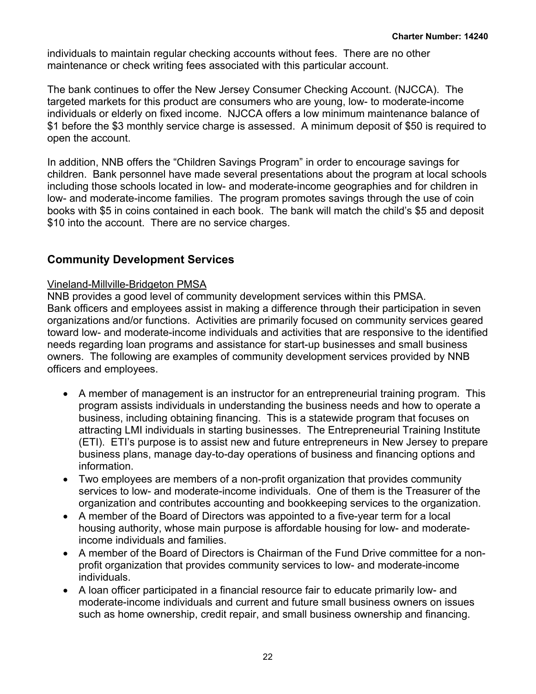individuals to maintain regular checking accounts without fees. There are no other maintenance or check writing fees associated with this particular account.

The bank continues to offer the New Jersey Consumer Checking Account. (NJCCA). The targeted markets for this product are consumers who are young, low- to moderate-income individuals or elderly on fixed income. NJCCA offers a low minimum maintenance balance of \$1 before the \$3 monthly service charge is assessed. A minimum deposit of \$50 is required to open the account.

In addition, NNB offers the "Children Savings Program" in order to encourage savings for children. Bank personnel have made several presentations about the program at local schools including those schools located in low- and moderate-income geographies and for children in low- and moderate-income families. The program promotes savings through the use of coin books with \$5 in coins contained in each book. The bank will match the child's \$5 and deposit \$10 into the account. There are no service charges.

## **Community Development Services**

## Vineland-Millville-Bridgeton PMSA

NNB provides a good level of community development services within this PMSA. Bank officers and employees assist in making a difference through their participation in seven organizations and/or functions. Activities are primarily focused on community services geared toward low- and moderate-income individuals and activities that are responsive to the identified needs regarding loan programs and assistance for start-up businesses and small business owners. The following are examples of community development services provided by NNB officers and employees.

- A member of management is an instructor for an entrepreneurial training program. This program assists individuals in understanding the business needs and how to operate a business, including obtaining financing. This is a statewide program that focuses on attracting LMI individuals in starting businesses. The Entrepreneurial Training Institute (ETI). ETI's purpose is to assist new and future entrepreneurs in New Jersey to prepare business plans, manage day-to-day operations of business and financing options and information.
- Two employees are members of a non-profit organization that provides community services to low- and moderate-income individuals. One of them is the Treasurer of the organization and contributes accounting and bookkeeping services to the organization.
- A member of the Board of Directors was appointed to a five-year term for a local housing authority, whose main purpose is affordable housing for low- and moderateincome individuals and families.
- A member of the Board of Directors is Chairman of the Fund Drive committee for a nonprofit organization that provides community services to low- and moderate-income individuals.
- A loan officer participated in a financial resource fair to educate primarily low- and moderate-income individuals and current and future small business owners on issues such as home ownership, credit repair, and small business ownership and financing.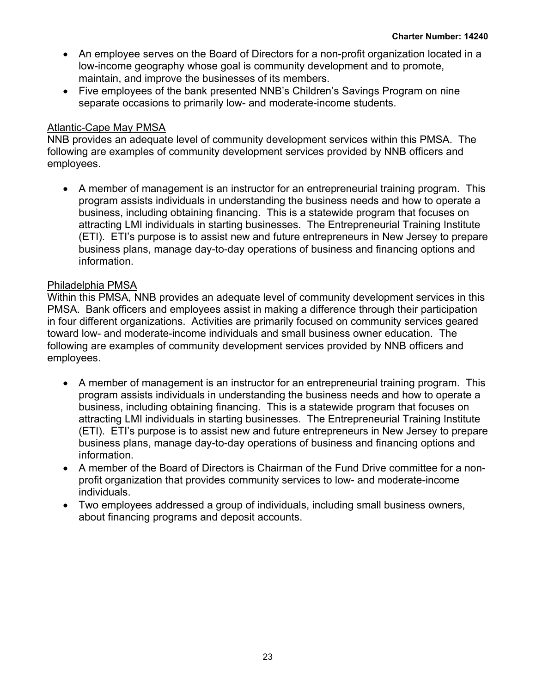- An employee serves on the Board of Directors for a non-profit organization located in a low-income geography whose goal is community development and to promote, maintain, and improve the businesses of its members.
- Five employees of the bank presented NNB's Children's Savings Program on nine separate occasions to primarily low- and moderate-income students.

### Atlantic-Cape May PMSA

NNB provides an adequate level of community development services within this PMSA. The following are examples of community development services provided by NNB officers and employees.

• A member of management is an instructor for an entrepreneurial training program. This program assists individuals in understanding the business needs and how to operate a business, including obtaining financing. This is a statewide program that focuses on attracting LMI individuals in starting businesses. The Entrepreneurial Training Institute (ETI). ETI's purpose is to assist new and future entrepreneurs in New Jersey to prepare business plans, manage day-to-day operations of business and financing options and information.

### Philadelphia PMSA

Within this PMSA, NNB provides an adequate level of community development services in this PMSA. Bank officers and employees assist in making a difference through their participation in four different organizations. Activities are primarily focused on community services geared toward low- and moderate-income individuals and small business owner education. The following are examples of community development services provided by NNB officers and employees.

- A member of management is an instructor for an entrepreneurial training program. This program assists individuals in understanding the business needs and how to operate a business, including obtaining financing. This is a statewide program that focuses on attracting LMI individuals in starting businesses. The Entrepreneurial Training Institute (ETI). ETI's purpose is to assist new and future entrepreneurs in New Jersey to prepare business plans, manage day-to-day operations of business and financing options and information.
- A member of the Board of Directors is Chairman of the Fund Drive committee for a nonprofit organization that provides community services to low- and moderate-income individuals.
- Two employees addressed a group of individuals, including small business owners, about financing programs and deposit accounts.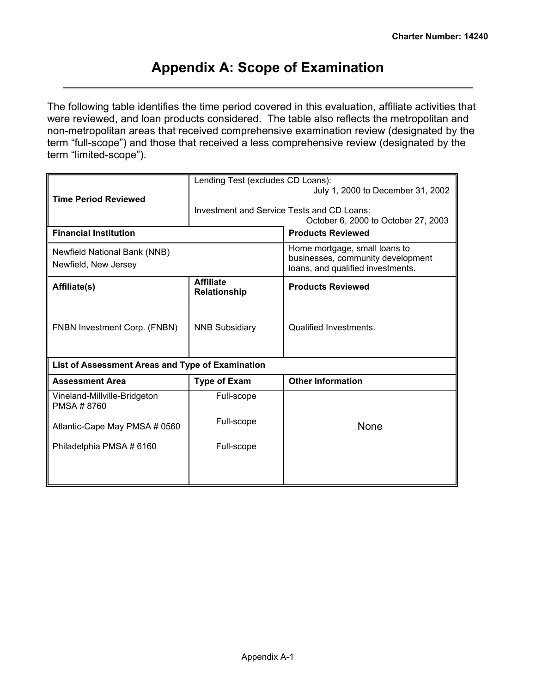## <span id="page-25-0"></span>**Appendix A: Scope of Examination**

The following table identifies the time period covered in this evaluation, affiliate activities that were reviewed, and loan products considered. The table also reflects the metropolitan and non-metropolitan areas that received comprehensive examination review (designated by the term "full-scope") and those that received a less comprehensive review (designated by the term "limited-scope").

|                                                  | Lending Test (excludes CD Loans):          |                                                                        |  |  |  |  |  |
|--------------------------------------------------|--------------------------------------------|------------------------------------------------------------------------|--|--|--|--|--|
|                                                  |                                            | July 1, 2000 to December 31, 2002                                      |  |  |  |  |  |
| <b>Time Period Reviewed</b>                      | Investment and Service Tests and CD Loans: |                                                                        |  |  |  |  |  |
|                                                  |                                            | October 6, 2000 to October 27, 2003                                    |  |  |  |  |  |
| <b>Financial Institution</b>                     |                                            | <b>Products Reviewed</b>                                               |  |  |  |  |  |
|                                                  |                                            |                                                                        |  |  |  |  |  |
| Newfield National Bank (NNB)                     |                                            | Home mortgage, small loans to                                          |  |  |  |  |  |
| Newfield, New Jersey                             |                                            | businesses, community development<br>loans, and qualified investments. |  |  |  |  |  |
|                                                  | <b>Affiliate</b>                           |                                                                        |  |  |  |  |  |
| Affiliate(s)                                     | Relationship                               | <b>Products Reviewed</b>                                               |  |  |  |  |  |
|                                                  |                                            |                                                                        |  |  |  |  |  |
|                                                  |                                            |                                                                        |  |  |  |  |  |
| FNBN Investment Corp. (FNBN)                     | <b>NNB Subsidiary</b>                      | Qualified Investments.                                                 |  |  |  |  |  |
|                                                  |                                            |                                                                        |  |  |  |  |  |
|                                                  |                                            |                                                                        |  |  |  |  |  |
| List of Assessment Areas and Type of Examination |                                            |                                                                        |  |  |  |  |  |
| <b>Assessment Area</b>                           | <b>Type of Exam</b>                        | <b>Other Information</b>                                               |  |  |  |  |  |
| Vineland-Millville-Bridgeton<br>PMSA #8760       | Full-scope                                 |                                                                        |  |  |  |  |  |
|                                                  |                                            |                                                                        |  |  |  |  |  |
| Atlantic-Cape May PMSA # 0560                    | Full-scope                                 | None                                                                   |  |  |  |  |  |
|                                                  |                                            |                                                                        |  |  |  |  |  |
| Philadelphia PMSA # 6160                         | Full-scope                                 |                                                                        |  |  |  |  |  |
|                                                  |                                            |                                                                        |  |  |  |  |  |
|                                                  |                                            |                                                                        |  |  |  |  |  |
|                                                  |                                            |                                                                        |  |  |  |  |  |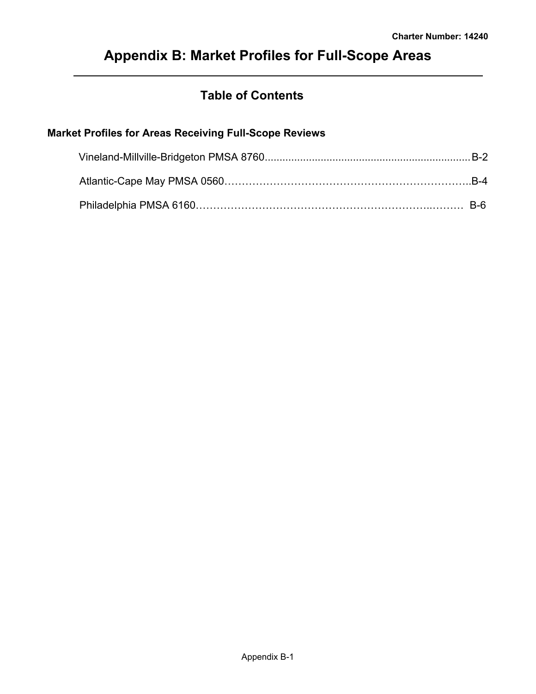## <span id="page-26-0"></span>**Appendix B: Market Profiles for Full-Scope Areas**

## **Table of Contents**

## **Market Profiles for Areas Receiving Full-Scope Reviews**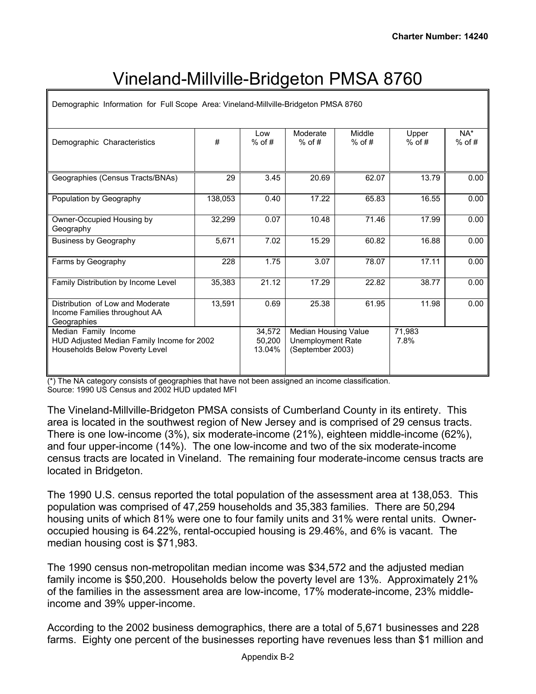# Vineland-Millville-Bridgeton PMSA 8760

| Demographic Information for Full Scope Area: Vineland-Millville-Bridgeton PMSA 8760                         |         |                            |                                                               |                    |                   |                    |  |  |  |  |  |  |  |
|-------------------------------------------------------------------------------------------------------------|---------|----------------------------|---------------------------------------------------------------|--------------------|-------------------|--------------------|--|--|--|--|--|--|--|
| Demographic Characteristics                                                                                 | #       | Low<br>$%$ of #            | Moderate<br>$%$ of #                                          | Middle<br>$%$ of # | Upper<br>$%$ of # | $NA^*$<br>$%$ of # |  |  |  |  |  |  |  |
| Geographies (Census Tracts/BNAs)                                                                            | 29      | 3.45                       | 20.69                                                         | 62.07              | 13.79             | 0.00               |  |  |  |  |  |  |  |
| Population by Geography                                                                                     | 138,053 | 0.40                       | 17.22                                                         | 65.83              | 16.55             | 0.00               |  |  |  |  |  |  |  |
| Owner-Occupied Housing by<br>Geography                                                                      | 32.299  | 0.07                       | 10.48                                                         | 71.46              | 17.99             | 0.00               |  |  |  |  |  |  |  |
| <b>Business by Geography</b>                                                                                | 5,671   | 7.02                       | 15.29                                                         | 60.82              | 16.88             | 0.00               |  |  |  |  |  |  |  |
| Farms by Geography                                                                                          | 228     | 1.75                       | 3.07                                                          | 78.07              | 17.11             | 0.00               |  |  |  |  |  |  |  |
| Family Distribution by Income Level                                                                         | 35,383  | 21.12                      | 17.29                                                         | 22.82              | 38.77             | 0.00               |  |  |  |  |  |  |  |
| Distribution of Low and Moderate<br>Income Families throughout AA<br>Geographies                            | 13,591  | 0.69                       | 25.38                                                         | 61.95              | 11.98             | 0.00               |  |  |  |  |  |  |  |
| Median Family Income<br>HUD Adjusted Median Family Income for 2002<br><b>Households Below Poverty Level</b> |         | 34,572<br>50.200<br>13.04% | Median Housing Value<br>Unemployment Rate<br>(September 2003) |                    | 71.983<br>7.8%    |                    |  |  |  |  |  |  |  |

(\*) The NA category consists of geographies that have not been assigned an income classification. Source: 1990 US Census and 2002 HUD updated MFI

The Vineland-Millville-Bridgeton PMSA consists of Cumberland County in its entirety. This area is located in the southwest region of New Jersey and is comprised of 29 census tracts. There is one low-income (3%), six moderate-income (21%), eighteen middle-income (62%), and four upper-income (14%). The one low-income and two of the six moderate-income census tracts are located in Vineland. The remaining four moderate-income census tracts are located in Bridgeton.

The 1990 U.S. census reported the total population of the assessment area at 138,053. This population was comprised of 47,259 households and 35,383 families. There are 50,294 housing units of which 81% were one to four family units and 31% were rental units. Owneroccupied housing is 64.22%, rental-occupied housing is 29.46%, and 6% is vacant. The median housing cost is \$71,983.

The 1990 census non-metropolitan median income was \$34,572 and the adjusted median family income is \$50,200. Households below the poverty level are 13%. Approximately 21% of the families in the assessment area are low-income, 17% moderate-income, 23% middleincome and 39% upper-income.

According to the 2002 business demographics, there are a total of 5,671 businesses and 228 farms. Eighty one percent of the businesses reporting have revenues less than \$1 million and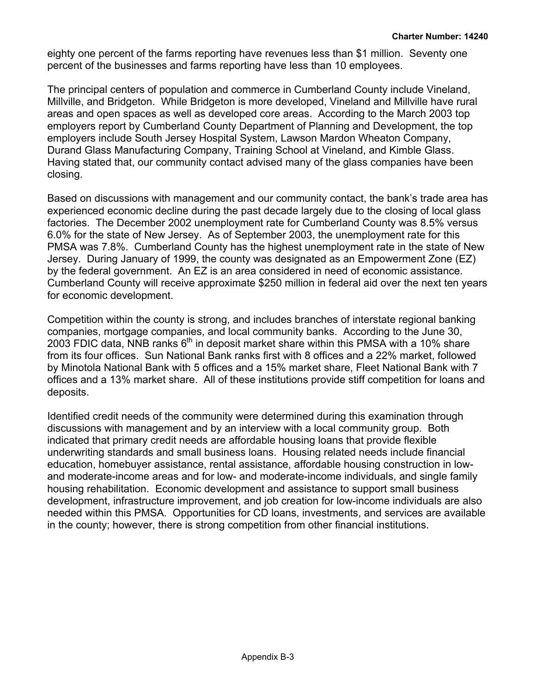eighty one percent of the farms reporting have revenues less than \$1 million. Seventy one percent of the businesses and farms reporting have less than 10 employees.

The principal centers of population and commerce in Cumberland County include Vineland, Millville, and Bridgeton. While Bridgeton is more developed, Vineland and Millville have rural areas and open spaces as well as developed core areas. According to the March 2003 top employers report by Cumberland County Department of Planning and Development, the top employers include South Jersey Hospital System, Lawson Mardon Wheaton Company, Durand Glass Manufacturing Company, Training School at Vineland, and Kimble Glass. Having stated that, our community contact advised many of the glass companies have been closing.

Based on discussions with management and our community contact, the bank's trade area has experienced economic decline during the past decade largely due to the closing of local glass factories. The December 2002 unemployment rate for Cumberland County was 8.5% versus 6.0% for the state of New Jersey. As of September 2003, the unemployment rate for this PMSA was 7.8%. Cumberland County has the highest unemployment rate in the state of New Jersey. During January of 1999, the county was designated as an Empowerment Zone (EZ) by the federal government. An EZ is an area considered in need of economic assistance. Cumberland County will receive approximate \$250 million in federal aid over the next ten years for economic development.

Competition within the county is strong, and includes branches of interstate regional banking companies, mortgage companies, and local community banks. According to the June 30, 2003 FDIC data, NNB ranks  $6<sup>th</sup>$  in deposit market share within this PMSA with a 10% share from its four offices. Sun National Bank ranks first with 8 offices and a 22% market, followed by Minotola National Bank with 5 offices and a 15% market share, Fleet National Bank with 7 offices and a 13% market share. All of these institutions provide stiff competition for loans and deposits.

Identified credit needs of the community were determined during this examination through discussions with management and by an interview with a local community group. Both indicated that primary credit needs are affordable housing loans that provide flexible underwriting standards and small business loans. Housing related needs include financial education, homebuyer assistance, rental assistance, affordable housing construction in lowand moderate-income areas and for low- and moderate-income individuals, and single family housing rehabilitation. Economic development and assistance to support small business development, infrastructure improvement, and job creation for low-income individuals are also needed within this PMSA. Opportunities for CD loans, investments, and services are available in the county; however, there is strong competition from other financial institutions.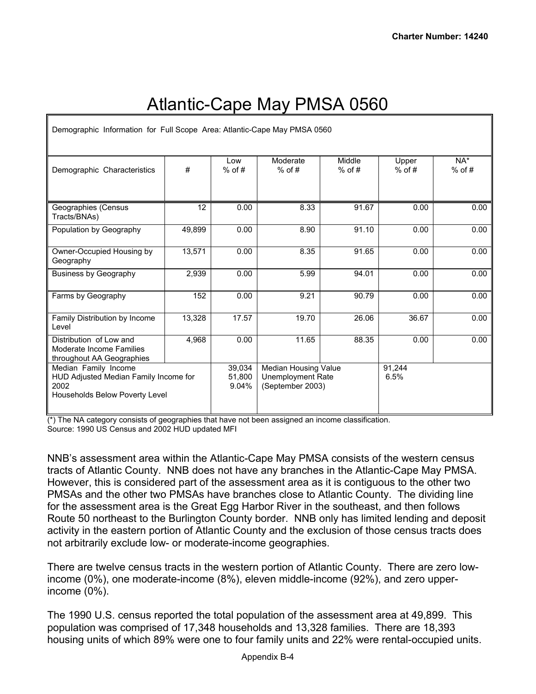# Atlantic-Cape May PMSA 0560

| Demographic Information for Full Scope Area: Atlantic-Cape May PMSA 0560                                |        |                           |                                                                      |                    |                   |                 |
|---------------------------------------------------------------------------------------------------------|--------|---------------------------|----------------------------------------------------------------------|--------------------|-------------------|-----------------|
| Demographic Characteristics                                                                             | #      | Low<br>$%$ of #           | Moderate<br>$%$ of #                                                 | Middle<br>$%$ of # | Upper<br>$%$ of # | NA*<br>$%$ of # |
| Geographies (Census<br>Tracts/BNAs)                                                                     | 12     | 0.00                      | 8.33                                                                 | 91.67              | 0.00              | 0.00            |
| Population by Geography                                                                                 | 49,899 | 0.00                      | 8.90                                                                 | 91.10              | 0.00              | 0.00            |
| Owner-Occupied Housing by<br>Geography                                                                  | 13,571 | 0.00                      | 8.35                                                                 | 91.65              | 0.00              | 0.00            |
| <b>Business by Geography</b>                                                                            | 2,939  | 0.00                      | 5.99                                                                 | 94.01              | 0.00              | 0.00            |
| Farms by Geography                                                                                      | 152    | 0.00                      | 9.21                                                                 | 90.79              | 0.00              | 0.00            |
| Family Distribution by Income<br>Level                                                                  | 13,328 | 17.57                     | 19.70                                                                | 26.06              | 36.67             | 0.00            |
| Distribution of Low and<br>Moderate Income Families<br>throughout AA Geographies                        | 4,968  | 0.00                      | 11.65                                                                | 88.35              | 0.00              | 0.00            |
| Median Family Income<br>HUD Adjusted Median Family Income for<br>2002<br>Households Below Poverty Level |        | 39.034<br>51,800<br>9.04% | Median Housing Value<br><b>Unemployment Rate</b><br>(September 2003) |                    | 91.244<br>6.5%    |                 |

(\*) The NA category consists of geographies that have not been assigned an income classification. Source: 1990 US Census and 2002 HUD updated MFI

NNB's assessment area within the Atlantic-Cape May PMSA consists of the western census tracts of Atlantic County. NNB does not have any branches in the Atlantic-Cape May PMSA. However, this is considered part of the assessment area as it is contiguous to the other two PMSAs and the other two PMSAs have branches close to Atlantic County. The dividing line for the assessment area is the Great Egg Harbor River in the southeast, and then follows Route 50 northeast to the Burlington County border. NNB only has limited lending and deposit activity in the eastern portion of Atlantic County and the exclusion of those census tracts does not arbitrarily exclude low- or moderate-income geographies.

There are twelve census tracts in the western portion of Atlantic County. There are zero lowincome (0%), one moderate-income (8%), eleven middle-income (92%), and zero upperincome (0%).

The 1990 U.S. census reported the total population of the assessment area at 49,899. This population was comprised of 17,348 households and 13,328 families. There are 18,393 housing units of which 89% were one to four family units and 22% were rental-occupied units.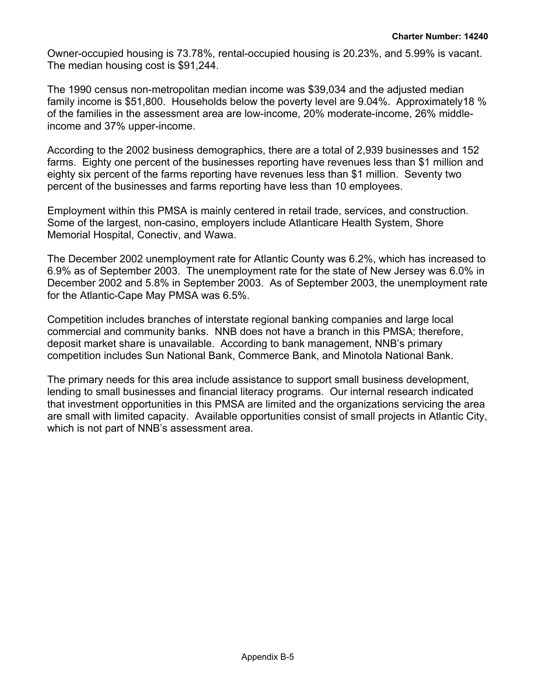Owner-occupied housing is 73.78%, rental-occupied housing is 20.23%, and 5.99% is vacant. The median housing cost is \$91,244.

The 1990 census non-metropolitan median income was \$39,034 and the adjusted median family income is \$51,800. Households below the poverty level are 9.04%. Approximately18 % of the families in the assessment area are low-income, 20% moderate-income, 26% middleincome and 37% upper-income.

According to the 2002 business demographics, there are a total of 2,939 businesses and 152 farms. Eighty one percent of the businesses reporting have revenues less than \$1 million and eighty six percent of the farms reporting have revenues less than \$1 million. Seventy two percent of the businesses and farms reporting have less than 10 employees.

Employment within this PMSA is mainly centered in retail trade, services, and construction. Some of the largest, non-casino, employers include Atlanticare Health System, Shore Memorial Hospital, Conectiv, and Wawa.

The December 2002 unemployment rate for Atlantic County was 6.2%, which has increased to 6.9% as of September 2003. The unemployment rate for the state of New Jersey was 6.0% in December 2002 and 5.8% in September 2003. As of September 2003, the unemployment rate for the Atlantic-Cape May PMSA was 6.5%.

Competition includes branches of interstate regional banking companies and large local commercial and community banks. NNB does not have a branch in this PMSA; therefore, deposit market share is unavailable. According to bank management, NNB's primary competition includes Sun National Bank, Commerce Bank, and Minotola National Bank.

The primary needs for this area include assistance to support small business development, lending to small businesses and financial literacy programs. Our internal research indicated that investment opportunities in this PMSA are limited and the organizations servicing the area are small with limited capacity. Available opportunities consist of small projects in Atlantic City, which is not part of NNB's assessment area.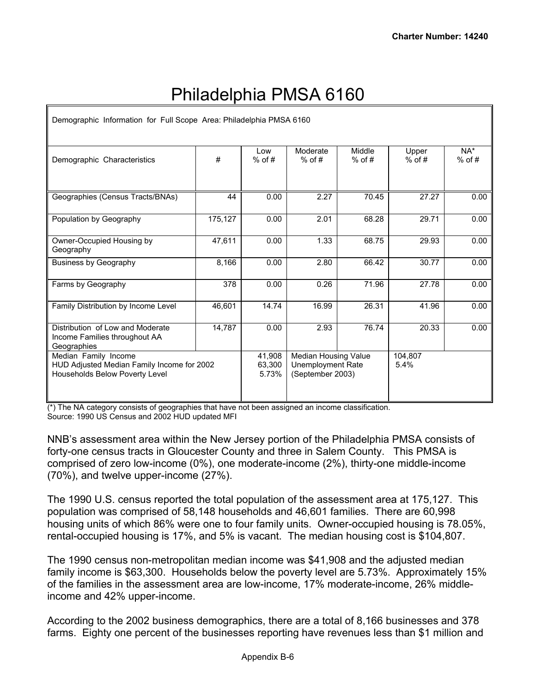## Philadelphia PMSA 6160

| Demographic Information for Full Scope Area: Philadelphia PMSA 6160                                  |         |                           |                                                                             |       |                   |                    |  |  |
|------------------------------------------------------------------------------------------------------|---------|---------------------------|-----------------------------------------------------------------------------|-------|-------------------|--------------------|--|--|
| Demographic Characteristics                                                                          | #       | Low<br>$%$ of #           | Moderate<br>$%$ of #                                                        |       | Upper<br>$%$ of # | $NA^*$<br>$%$ of # |  |  |
|                                                                                                      |         |                           |                                                                             |       |                   |                    |  |  |
| Geographies (Census Tracts/BNAs)                                                                     | 44      | 0.00                      | 2.27                                                                        | 70.45 | 27.27             | 0.00               |  |  |
| Population by Geography                                                                              | 175,127 | 0.00                      | 2.01                                                                        | 68.28 | 29.71             | 0.00               |  |  |
| Owner-Occupied Housing by<br>Geography                                                               | 47,611  | 0.00                      | 1.33                                                                        | 68.75 | 29.93             | 0.00               |  |  |
| <b>Business by Geography</b>                                                                         | 8,166   | 0.00                      | 2.80                                                                        | 66.42 | 30.77             | 0.00               |  |  |
| Farms by Geography                                                                                   | 378     | 0.00                      | 0.26                                                                        | 71.96 | 27.78             | 0.00               |  |  |
| Family Distribution by Income Level                                                                  | 46,601  | 14.74                     | 16.99                                                                       | 26.31 | 41.96             | 0.00               |  |  |
| Distribution of Low and Moderate<br>Income Families throughout AA<br>Geographies                     | 14,787  | 0.00                      | 2.93                                                                        | 76.74 | 20.33             | 0.00               |  |  |
| Median Family Income<br>HUD Adjusted Median Family Income for 2002<br>Households Below Poverty Level |         | 41,908<br>63,300<br>5.73% | <b>Median Housing Value</b><br><b>Unemployment Rate</b><br>(September 2003) |       | 104.807<br>5.4%   |                    |  |  |

(\*) The NA category consists of geographies that have not been assigned an income classification. Source: 1990 US Census and 2002 HUD updated MFI

NNB's assessment area within the New Jersey portion of the Philadelphia PMSA consists of forty-one census tracts in Gloucester County and three in Salem County. This PMSA is comprised of zero low-income (0%), one moderate-income (2%), thirty-one middle-income (70%), and twelve upper-income (27%).

The 1990 U.S. census reported the total population of the assessment area at 175,127. This population was comprised of 58,148 households and 46,601 families. There are 60,998 housing units of which 86% were one to four family units. Owner-occupied housing is 78.05%, rental-occupied housing is 17%, and 5% is vacant. The median housing cost is \$104,807.

The 1990 census non-metropolitan median income was \$41,908 and the adjusted median family income is \$63,300. Households below the poverty level are 5.73%. Approximately 15% of the families in the assessment area are low-income, 17% moderate-income, 26% middleincome and 42% upper-income.

According to the 2002 business demographics, there are a total of 8,166 businesses and 378 farms. Eighty one percent of the businesses reporting have revenues less than \$1 million and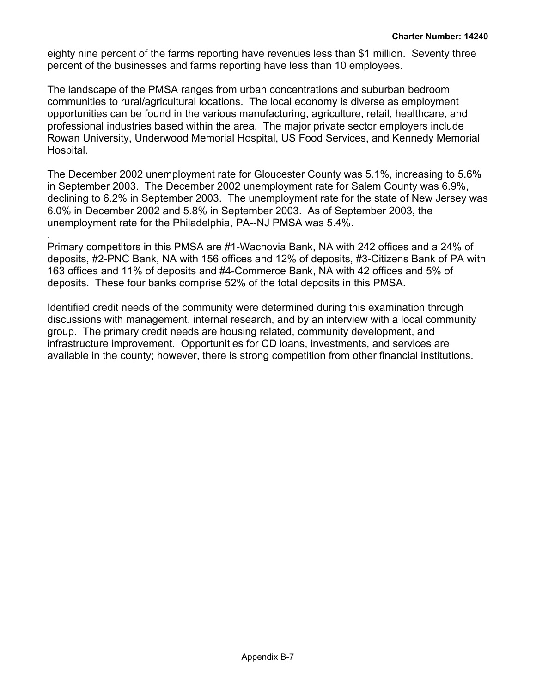eighty nine percent of the farms reporting have revenues less than \$1 million. Seventy three percent of the businesses and farms reporting have less than 10 employees.

The landscape of the PMSA ranges from urban concentrations and suburban bedroom communities to rural/agricultural locations. The local economy is diverse as employment opportunities can be found in the various manufacturing, agriculture, retail, healthcare, and professional industries based within the area. The major private sector employers include Rowan University, Underwood Memorial Hospital, US Food Services, and Kennedy Memorial Hospital.

The December 2002 unemployment rate for Gloucester County was 5.1%, increasing to 5.6% in September 2003. The December 2002 unemployment rate for Salem County was 6.9%, declining to 6.2% in September 2003. The unemployment rate for the state of New Jersey was 6.0% in December 2002 and 5.8% in September 2003. As of September 2003, the unemployment rate for the Philadelphia, PA--NJ PMSA was 5.4%.

Primary competitors in this PMSA are #1-Wachovia Bank, NA with 242 offices and a 24% of deposits, #2-PNC Bank, NA with 156 offices and 12% of deposits, #3-Citizens Bank of PA with 163 offices and 11% of deposits and #4-Commerce Bank, NA with 42 offices and 5% of deposits. These four banks comprise 52% of the total deposits in this PMSA.

.

Identified credit needs of the community were determined during this examination through discussions with management, internal research, and by an interview with a local community group. The primary credit needs are housing related, community development, and infrastructure improvement. Opportunities for CD loans, investments, and services are available in the county; however, there is strong competition from other financial institutions.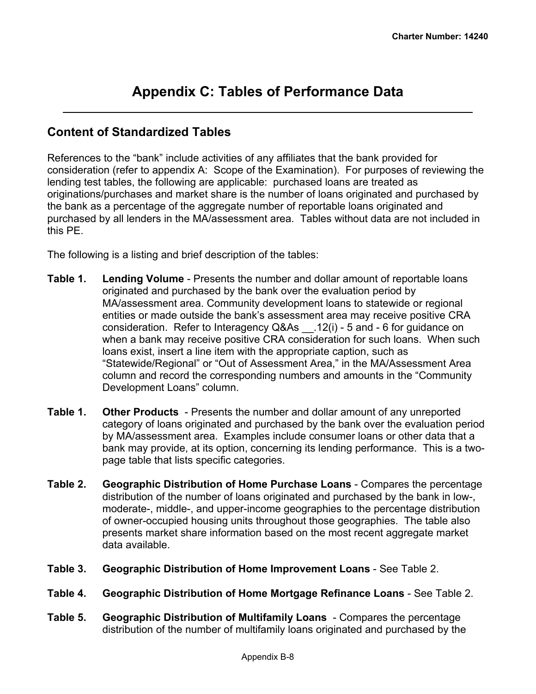## <span id="page-33-0"></span>**Appendix C: Tables of Performance Data**

## **Content of Standardized Tables**

References to the "bank" include activities of any affiliates that the bank provided for consideration (refer to appendix A: Scope of the Examination). For purposes of reviewing the lending test tables, the following are applicable: purchased loans are treated as originations/purchases and market share is the number of loans originated and purchased by the bank as a percentage of the aggregate number of reportable loans originated and purchased by all lenders in the MA/assessment area. Tables without data are not included in this PE.

The following is a listing and brief description of the tables:

- **Table 1. Lending Volume** Presents the number and dollar amount of reportable loans originated and purchased by the bank over the evaluation period by MA/assessment area. Community development loans to statewide or regional entities or made outside the bank's assessment area may receive positive CRA consideration. Refer to Interagency Q&As \_\_.12(i) - 5 and - 6 for guidance on when a bank may receive positive CRA consideration for such loans. When such loans exist, insert a line item with the appropriate caption, such as "Statewide/Regional" or "Out of Assessment Area," in the MA/Assessment Area column and record the corresponding numbers and amounts in the "Community Development Loans" column.
- **Table 1. Other Products**  Presents the number and dollar amount of any unreported category of loans originated and purchased by the bank over the evaluation period by MA/assessment area. Examples include consumer loans or other data that a bank may provide, at its option, concerning its lending performance. This is a twopage table that lists specific categories.
- **Table 2. Geographic Distribution of Home Purchase Loans** Compares the percentage distribution of the number of loans originated and purchased by the bank in low-, moderate-, middle-, and upper-income geographies to the percentage distribution of owner-occupied housing units throughout those geographies. The table also presents market share information based on the most recent aggregate market data available.
- **Table 3. Geographic Distribution of Home Improvement Loans** See Table 2.
- **Table 4. Geographic Distribution of Home Mortgage Refinance Loans** See Table 2.
- **Table 5. Geographic Distribution of Multifamily Loans** Compares the percentage distribution of the number of multifamily loans originated and purchased by the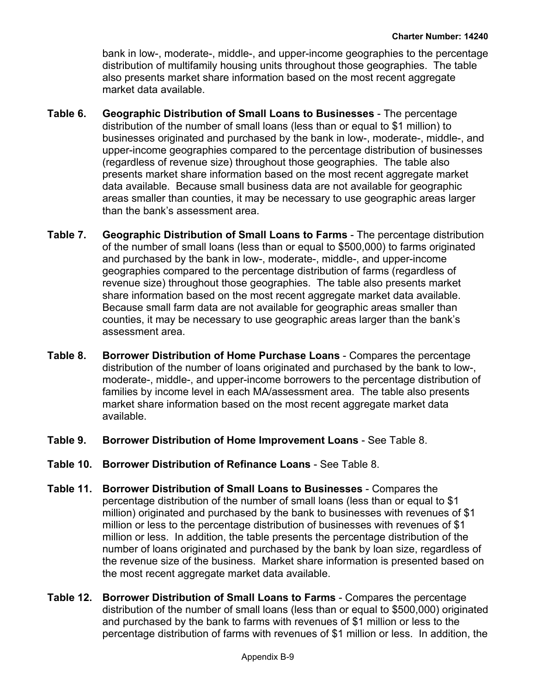bank in low-, moderate-, middle-, and upper-income geographies to the percentage distribution of multifamily housing units throughout those geographies. The table also presents market share information based on the most recent aggregate market data available.

- **Table 6. Geographic Distribution of Small Loans to Businesses** The percentage distribution of the number of small loans (less than or equal to \$1 million) to businesses originated and purchased by the bank in low-, moderate-, middle-, and upper-income geographies compared to the percentage distribution of businesses (regardless of revenue size) throughout those geographies. The table also presents market share information based on the most recent aggregate market data available. Because small business data are not available for geographic areas smaller than counties, it may be necessary to use geographic areas larger than the bank's assessment area.
- **Table 7. Geographic Distribution of Small Loans to Farms** The percentage distribution of the number of small loans (less than or equal to \$500,000) to farms originated and purchased by the bank in low-, moderate-, middle-, and upper-income geographies compared to the percentage distribution of farms (regardless of revenue size) throughout those geographies. The table also presents market share information based on the most recent aggregate market data available. Because small farm data are not available for geographic areas smaller than counties, it may be necessary to use geographic areas larger than the bank's assessment area.
- **Table 8. Borrower Distribution of Home Purchase Loans** Compares the percentage distribution of the number of loans originated and purchased by the bank to low-, moderate-, middle-, and upper-income borrowers to the percentage distribution of families by income level in each MA/assessment area. The table also presents market share information based on the most recent aggregate market data available.
- **Table 9. Borrower Distribution of Home Improvement Loans** See Table 8.
- **Table 10. Borrower Distribution of Refinance Loans** See Table 8.
- **Table 11. Borrower Distribution of Small Loans to Businesses** Compares the percentage distribution of the number of small loans (less than or equal to \$1 million) originated and purchased by the bank to businesses with revenues of \$1 million or less to the percentage distribution of businesses with revenues of \$1 million or less. In addition, the table presents the percentage distribution of the number of loans originated and purchased by the bank by loan size, regardless of the revenue size of the business. Market share information is presented based on the most recent aggregate market data available.
- **Table 12. Borrower Distribution of Small Loans to Farms** Compares the percentage distribution of the number of small loans (less than or equal to \$500,000) originated and purchased by the bank to farms with revenues of \$1 million or less to the percentage distribution of farms with revenues of \$1 million or less. In addition, the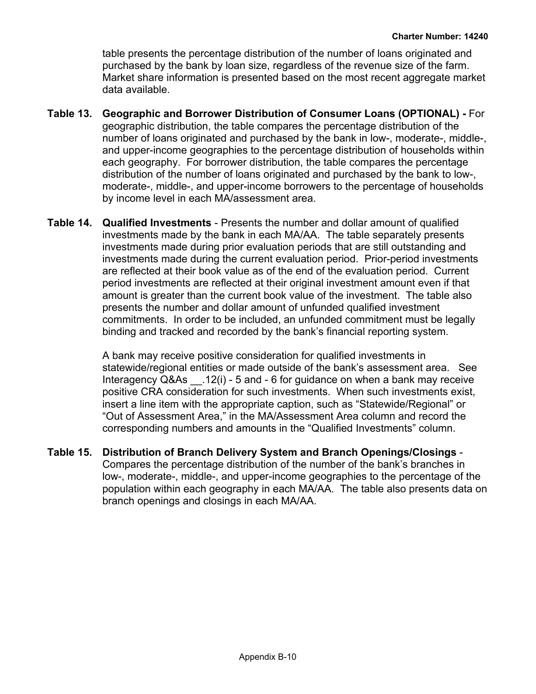table presents the percentage distribution of the number of loans originated and purchased by the bank by loan size, regardless of the revenue size of the farm. Market share information is presented based on the most recent aggregate market data available.

- **Table 13. Geographic and Borrower Distribution of Consumer Loans (OPTIONAL)** For geographic distribution, the table compares the percentage distribution of the number of loans originated and purchased by the bank in low-, moderate-, middle-, and upper-income geographies to the percentage distribution of households within each geography. For borrower distribution, the table compares the percentage distribution of the number of loans originated and purchased by the bank to low-, moderate-, middle-, and upper-income borrowers to the percentage of households by income level in each MA/assessment area.
- **Table 14. Qualified Investments** Presents the number and dollar amount of qualified investments made by the bank in each MA/AA. The table separately presents investments made during prior evaluation periods that are still outstanding and investments made during the current evaluation period. Prior-period investments are reflected at their book value as of the end of the evaluation period. Current period investments are reflected at their original investment amount even if that amount is greater than the current book value of the investment. The table also presents the number and dollar amount of unfunded qualified investment commitments. In order to be included, an unfunded commitment must be legally binding and tracked and recorded by the bank's financial reporting system.

A bank may receive positive consideration for qualified investments in statewide/regional entities or made outside of the bank's assessment area. See Interagency Q&As \_\_.12(i) - 5 and - 6 for guidance on when a bank may receive positive CRA consideration for such investments. When such investments exist, insert a line item with the appropriate caption, such as "Statewide/Regional" or "Out of Assessment Area," in the MA/Assessment Area column and record the corresponding numbers and amounts in the "Qualified Investments" column.

**Table 15. Distribution of Branch Delivery System and Branch Openings/Closings** - Compares the percentage distribution of the number of the bank's branches in low-, moderate-, middle-, and upper-income geographies to the percentage of the population within each geography in each MA/AA. The table also presents data on branch openings and closings in each MA/AA.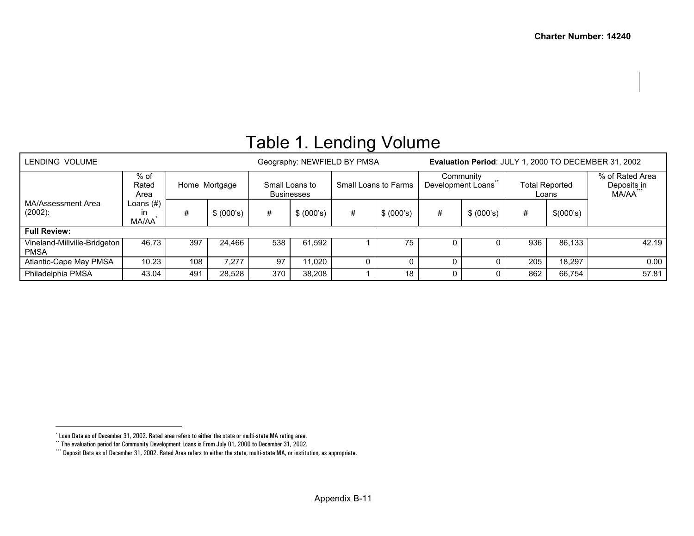<span id="page-36-2"></span><span id="page-36-1"></span><span id="page-36-0"></span>

| LENDING VOLUME                                                |                          |        |                                                             |        |            | Geography: NEWFIELD BY PMSA |                    | Evaluation Period: JULY 1, 2000 TO DECEMBER 31, 2002 |                         |                                         |           |  |
|---------------------------------------------------------------|--------------------------|--------|-------------------------------------------------------------|--------|------------|-----------------------------|--------------------|------------------------------------------------------|-------------------------|-----------------------------------------|-----------|--|
| % of<br>Rated<br>Home Mortgage<br>Area                        |                          |        | Small Loans to Farms<br>Small Loans to<br><b>Businesses</b> |        |            | Development Loans           | Community<br>$***$ |                                                      | Total Reported<br>Loans | % of Rated Area<br>Deposits in<br>MA/AA |           |  |
| MA/Assessment Area<br>$(2002)$ :                              | Loans (#)<br>ın<br>MA/AA | #      | \$ (000's)                                                  | #      | \$ (000's) | #                           | \$ (000's)         | #                                                    | \$ (000's)              | #                                       | \$(000's) |  |
| <b>Full Review:</b>                                           |                          |        |                                                             |        |            |                             |                    |                                                      |                         |                                         |           |  |
| 397<br>46.73<br>Vineland-Millville-Bridgeton  <br><b>PMSA</b> |                          | 24.466 | 538                                                         | 61.592 |            | 75                          |                    |                                                      | 936                     | 86.133                                  | 42.19     |  |
| 10.23<br>108<br>Atlantic-Cape May PMSA                        |                          | 7.277  | 97                                                          | 11.020 |            |                             |                    |                                                      | 205                     | 18,297                                  | 0.00      |  |
| Philadelphia PMSA                                             | 370                      | 38,208 |                                                             | 18     | U          |                             | 862                | 66,754                                               | 57.81                   |                                         |           |  |

# Table 1. Lending Volume

<sup>\*</sup> Loan Data as of December 31, 2002. Rated area refers to either the state or multi-state MA rating area.

<sup>\*\*</sup> The evaluation period for Community Development Loans is From July 01, 2000 to December 31, 2002.

<sup>\*\*\*\*</sup> Deposit Data as of December 31, 2002. Rated Area refers to either the state, multi-state MA, or institution, as appropriate.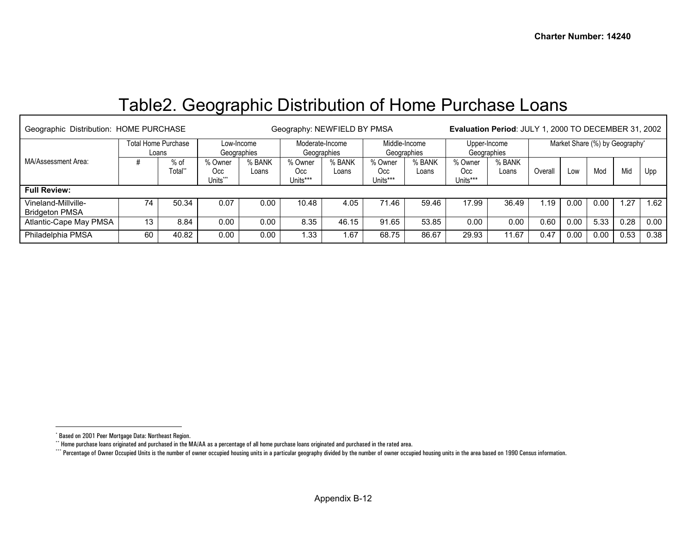## <span id="page-37-2"></span><span id="page-37-1"></span><span id="page-37-0"></span>Table2. Geographic Distribution of Home Purchase Loans

| Geographic Distribution: HOME PURCHASE       |                              |                 |                            |                 | Geography: NEWFIELD BY PMSA    | <b>Evaluation Period: JULY 1, 2000 TO DECEMBER 31, 2002</b> |                              |                 |                             |                 |                                |      |      |      |      |
|----------------------------------------------|------------------------------|-----------------|----------------------------|-----------------|--------------------------------|-------------------------------------------------------------|------------------------------|-----------------|-----------------------------|-----------------|--------------------------------|------|------|------|------|
|                                              | Total Home Purchase<br>Loans |                 | Low-Income<br>Geographies  |                 | Moderate-Income<br>Geographies |                                                             | Middle-Income<br>Geographies |                 | Upper-Income<br>Geographies |                 | Market Share (%) by Geography* |      |      |      |      |
| MA/Assessment Area:                          |                              | % of<br>Total** | % Owner<br>Occ<br>Units*** | % BANK<br>Loans | % Owner<br>Occ<br>Units***     | % BANK<br>Loans                                             | % Owner<br>Occ<br>Units***   | % BANK<br>Loans | % Owner<br>Occ<br>Units***  | % BANK<br>Loans | Overall                        | Low  | Mod  | Mid  | Upp  |
| <b>Full Review:</b>                          |                              |                 |                            |                 |                                |                                                             |                              |                 |                             |                 |                                |      |      |      |      |
| Vineland-Millville-<br><b>Bridgeton PMSA</b> | 74                           | 50.34           | 0.07                       | 0.00            | 10.48                          | 4.05                                                        | 71.46                        | 59.46           | 17.99                       | 36.49           | . 19                           | 0.00 | 0.00 | .27  | .62  |
| Atlantic-Cape May PMSA                       | 13                           | 8.84            | 0.00                       | 0.00            | 8.35                           | 46.15                                                       | 91.65                        | 53.85           | 0.00                        | 0.00            | 0.60                           | 0.00 | 5.33 | 0.28 | 0.00 |
| Philadelphia PMSA                            | 60                           | 40.82           | 0.00                       | 0.00            | .33                            | 1.67                                                        | 68.75                        | 86.67           | 29.93                       | 11.67           | 0.47                           | 0.00 | 0.00 | 0.53 | 0.38 |

<sup>\*</sup> Based on 2001 Peer Mortgage Data: Northeast Region.

<sup>\*\*</sup> Home purchase loans originated and purchased in the MA/AA as a percentage of all home purchase loans originated and purchased in the rated area.

<sup>\*\*\*\*</sup> Percentage of Owner Occupied Units is the number of owner occupied housing units in a particular geography divided by the number of owner occupied housing units in the area based on 1990 Census information.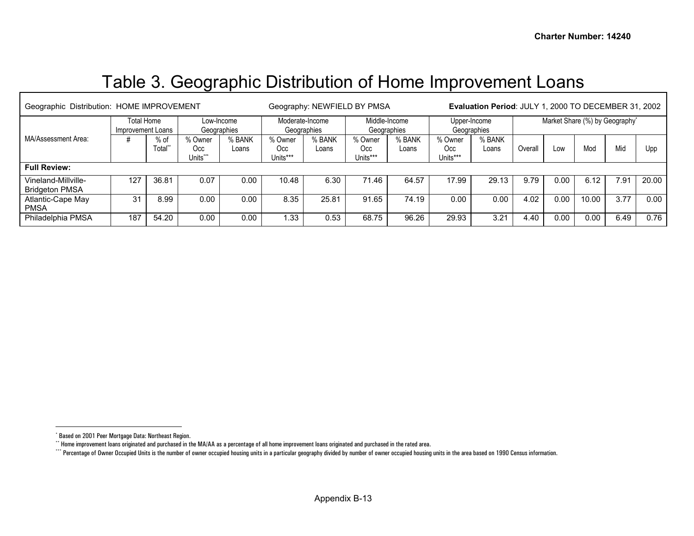# <span id="page-38-2"></span><span id="page-38-1"></span><span id="page-38-0"></span>Table 3. Geographic Distribution of Home Improvement Loans

| Geographic Distribution: HOME IMPROVEMENT    |     |                   |                            |                 |                                | Geography: NEWFIELD BY PMSA |                              | Evaluation Period: JULY 1, 2000 TO DECEMBER 31, 2002 |                             |                 |                                |      |       |      |       |
|----------------------------------------------|-----|-------------------|----------------------------|-----------------|--------------------------------|-----------------------------|------------------------------|------------------------------------------------------|-----------------------------|-----------------|--------------------------------|------|-------|------|-------|
| Total Home<br>Improvement Loans              |     |                   | Low-Income<br>Geographies  |                 | Moderate-Income<br>Geographies |                             | Middle-Income<br>Geographies |                                                      | Upper-Income<br>Geographies |                 | Market Share (%) by Geography* |      |       |      |       |
| MA/Assessment Area:                          |     | $%$ of<br>Total** | % Owner<br>Occ<br>Jnits*** | % BANK<br>Loans | % Owner<br>Occ<br>Units***     | % BANK<br>Loans             | % Owner<br>Occ<br>Units***   | % BANK<br>Loans                                      | % Owner<br>Occ<br>Units***  | % BANK<br>Loans | Overal                         | LOW  | Mod   | Mid  | Upp   |
| <b>Full Review:</b>                          |     |                   |                            |                 |                                |                             |                              |                                                      |                             |                 |                                |      |       |      |       |
| Vineland-Millville-<br><b>Bridgeton PMSA</b> | 127 | 36.81             | 0.07                       | 0.00            | 10.48                          | 6.30                        | 71.46                        | 64.57                                                | 17.99                       | 29.13           | 9.79                           | 0.00 | 6.12  | 7.91 | 20.00 |
| Atlantic-Cape May<br><b>PMSA</b>             | 31  | 8.99              | 0.00                       | 0.00            | 8.35                           | 25.81                       | 91.65                        | 74.19                                                | 0.00                        | 0.00            | 4.02                           | 0.00 | 10.00 | 3.77 | 0.00  |
| Philadelphia PMSA                            | 187 | 54.20             | 0.00                       | 0.00            | .33                            | 0.53                        | 68.75                        | 96.26                                                | 29.93                       | 3.21            | 4.40                           | 0.00 | 0.00  | 6.49 | 0.76  |

<sup>\*</sup> Based on 2001 Peer Mortgage Data: Northeast Region.

<sup>\*\*</sup> Home improvement loans originated and purchased in the MA/AA as a percentage of all home improvement loans originated and purchased in the rated area.

<sup>\*\*\*\*</sup> Percentage of Owner Occupied Units is the number of owner occupied housing units in a particular geography divided by number of owner occupied housing units in the area based on 1990 Census information.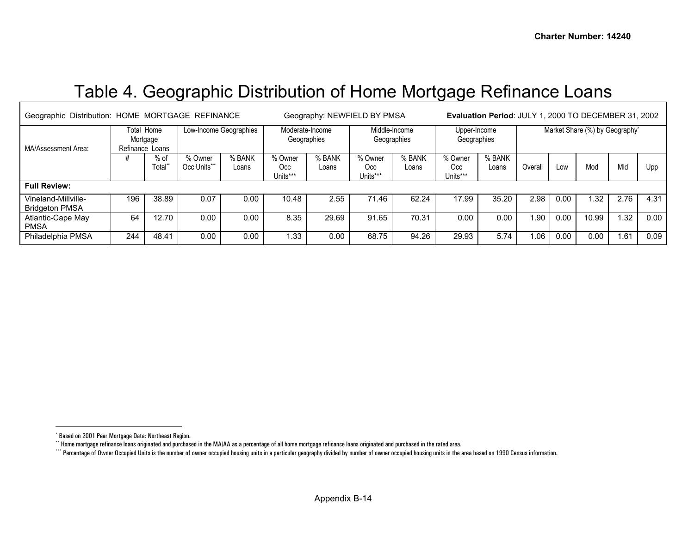## <span id="page-39-2"></span><span id="page-39-1"></span><span id="page-39-0"></span>Table 4. Geographic Distribution of Home Mortgage Refinance Loans

|                                                   | Geographic Distribution: HOME MORTGAGE REFINANCE |                 |                         |                 |                                | Geography: NEWFIELD BY PMSA | Evaluation Period: JULY 1, 2000 TO DECEMBER 31, 2002 |                 |                             |                 |                                |      |       |      |      |
|---------------------------------------------------|--------------------------------------------------|-----------------|-------------------------|-----------------|--------------------------------|-----------------------------|------------------------------------------------------|-----------------|-----------------------------|-----------------|--------------------------------|------|-------|------|------|
| MA/Assessment Area:                               | Total Home<br>Mortgage<br>Refinance Loans        |                 | Low-Income Geographies  |                 | Moderate-Income<br>Geographies |                             | Middle-Income<br>Geographies                         |                 | Upper-Income<br>Geographies |                 | Market Share (%) by Geography* |      |       |      |      |
|                                                   |                                                  | $%$ of<br>Total | % Owner<br>Occ Units*** | % BANK<br>Loans | % Owner<br>Occ<br>Units***     | % BANK<br>Loans             | % Owner<br>Occ<br>Units***                           | % BANK<br>Loans | % Owner<br>Occ<br>Units***  | % BANK<br>Loans | Overall                        | Low  | Mod   | Mid  | Upp  |
| <b>Full Review:</b>                               |                                                  |                 |                         |                 |                                |                             |                                                      |                 |                             |                 |                                |      |       |      |      |
| Vineland-Millville-<br><b>Bridgeton PMSA</b>      | 196                                              | 38.89           | 0.07                    | 0.00            | 10.48                          | 2.55                        | 71.46                                                | 62.24           | 17.99                       | 35.20           | 2.98                           | 0.00 | .32   | 2.76 | 4.31 |
| Atlantic-Cape May<br><b>PMSA</b>                  | 64                                               | 12.70           | 0.00                    | 0.00            | 8.35                           | 29.69                       | 91.65                                                | 70.31           | 0.00                        | 0.00            | 1.90                           | 0.00 | 10.99 | .32  | 0.00 |
| 48.41<br>0.00<br>0.00<br>Philadelphia PMSA<br>244 |                                                  |                 |                         |                 | 1.33                           | 0.00                        | 68.75                                                | 94.26           | 29.93                       | 5.74            | 1.06                           | 0.00 | 0.00  | .61  | 0.09 |

<sup>\*</sup> Based on 2001 Peer Mortgage Data: Northeast Region.

<sup>\*\*</sup> Home mortgage refinance loans originated and purchased in the MA/AA as a percentage of all home mortgage refinance loans originated and purchased in the rated area.

<sup>\*\*\*\*</sup> Percentage of Owner Occupied Units is the number of owner occupied housing units in a particular geography divided by number of owner occupied housing units in the area based on 1990 Census information.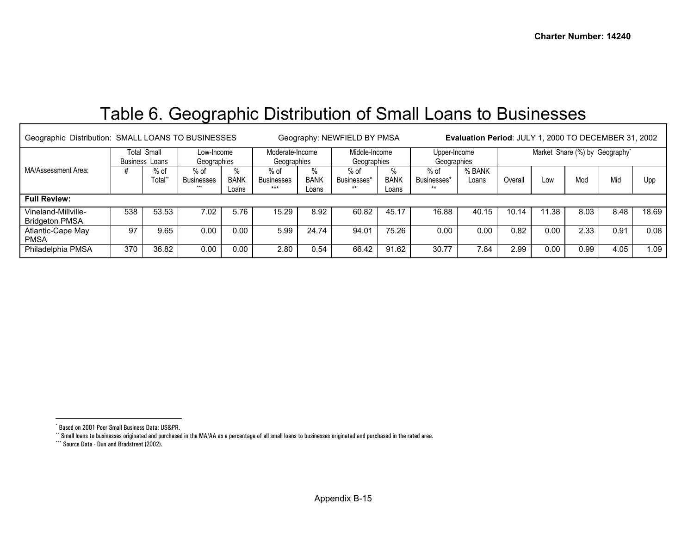# <span id="page-40-2"></span><span id="page-40-1"></span><span id="page-40-0"></span>Table 6. Geographic Distribution of Small Loans to Businesses

| Geographic Distribution: SMALL LOANS TO BUSINESSES |                                             |                           | Geography: NEWFIELD BY PMSA        |                                | Evaluation Period: JULY 1, 2000 TO DECEMBER 31, 2002 |                              |                                |                             |                                |                                |         |       |      |      |       |
|----------------------------------------------------|---------------------------------------------|---------------------------|------------------------------------|--------------------------------|------------------------------------------------------|------------------------------|--------------------------------|-----------------------------|--------------------------------|--------------------------------|---------|-------|------|------|-------|
|                                                    | <b>Total Small</b><br><b>Business Loans</b> | Low-Income<br>Geographies |                                    | Moderate-Income<br>Geographies |                                                      | Middle-Income<br>Geographies |                                | Upper-Income<br>Geographies |                                | Market Share (%) by Geography* |         |       |      |      |       |
| MA/Assessment Area:                                |                                             | $%$ of<br>Total*          | $%$ of<br><b>Businesses</b><br>*** | <b>BANK</b><br>Loans           | $%$ of<br><b>Businesses</b><br>$***$                 | $\%$<br><b>BANK</b><br>Loans | $%$ of<br>Businesses*<br>$***$ | %<br><b>BANK</b><br>Loans   | $%$ of<br>Businesses*<br>$***$ | % BANK<br>Loans                | Overall | LOW   | Mod  | Mid  | Upp   |
| <b>Full Review:</b>                                |                                             |                           |                                    |                                |                                                      |                              |                                |                             |                                |                                |         |       |      |      |       |
| Vineland-Millville-<br><b>Bridgeton PMSA</b>       | 538                                         | 53.53                     | 7.02                               | 5.76                           | 15.29                                                | 8.92                         | 60.82                          | 45.17                       | 16.88                          | 40.15                          | 10.14   | 11.38 | 8.03 | 8.48 | 18.69 |
| Atlantic-Cape May<br><b>PMSA</b>                   | 97                                          | 9.65                      | 0.00                               | 0.00                           | 5.99                                                 | 24.74                        | 94.01                          | 75.26                       | 0.00                           | 0.00                           | 0.82    | 0.00  | 2.33 | 0.91 | 0.08  |
| Philadelphia PMSA                                  | 370                                         | 36.82                     | 0.00                               | 0.00                           | 2.80                                                 | 0.54                         | 66.42                          | 91.62                       | 30.77                          | 7.84                           | 2.99    | 0.00  | 0.99 | 4.05 | 1.09  |

<sup>\*</sup> Based on 2001 Peer Small Business Data: US&PR.

\*\* Small loans to businesses originated and purchased in the MA/AA as a percentage of all small loans to businesses originated and purchased in the rated area.

<sup>\*\*\*</sup> Source Data - Dun and Bradstreet (2002).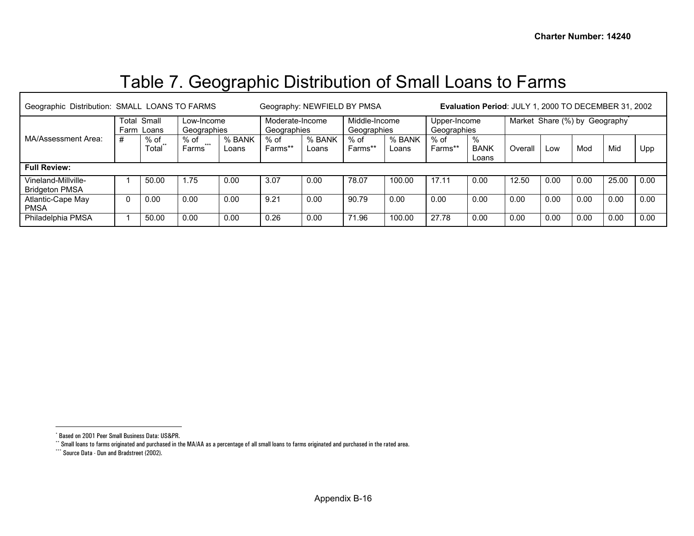# <span id="page-41-2"></span><span id="page-41-1"></span><span id="page-41-0"></span>Table 7. Geographic Distribution of Small Loans to Farms

| Geographic Distribution: SMALL LOANS TO FARMS |                              |               |                           |                 |                                | Geography: NEWFIELD BY PMSA | Evaluation Period: JULY 1, 2000 TO DECEMBER 31, 2002 |                 |                             |                              |         |      |                               |       |      |
|-----------------------------------------------|------------------------------|---------------|---------------------------|-----------------|--------------------------------|-----------------------------|------------------------------------------------------|-----------------|-----------------------------|------------------------------|---------|------|-------------------------------|-------|------|
|                                               | Total Small<br>Loans<br>Farm |               | Low-Income<br>Geographies |                 | Moderate-Income<br>Geographies |                             | Middle-Income<br>Geographies                         |                 | Upper-Income<br>Geographies |                              |         |      | Market Share (%) by Geography |       |      |
| MA/Assessment Area:                           | #                            | % of<br>Total | % of<br>$***$<br>Farms    | % BANK<br>Loans | % of<br>Farms**                | % BANK<br>Loans             | $%$ of<br>Farms**                                    | % BANK<br>Loans | % of<br>Farms**             | $\%$<br><b>BANK</b><br>Loans | Overall | Low  | Mod                           | Mid   | Upp  |
| <b>Full Review:</b>                           |                              |               |                           |                 |                                |                             |                                                      |                 |                             |                              |         |      |                               |       |      |
| Vineland-Millville-<br><b>Bridgeton PMSA</b>  |                              | 50.00         | 1.75                      | 0.00            | 3.07                           | 0.00                        | 78.07                                                | 100.00          | 17.11                       | 0.00                         | 12.50   | 0.00 | 0.00                          | 25.00 | 0.00 |
| Atlantic-Cape May<br><b>PMSA</b>              | 0                            | 0.00          | 0.00                      | 0.00            | 9.21                           | 0.00                        | 90.79                                                | 0.00            | 0.00                        | 0.00                         | 0.00    | 0.00 | 0.00                          | 0.00  | 0.00 |
| Philadelphia PMSA                             |                              | 50.00         | 0.00                      | 0.00            | 0.26                           | 0.00                        | 71.96                                                | 100.00          | 27.78                       | 0.00                         | 0.00    | 0.00 | 0.00                          | 0.00  | 0.00 |

<sup>\*</sup> Based on 2001 Peer Small Business Data: US&PR.

\*\* Small loans to farms originated and purchased in the MA/AA as a percentage of all small loans to farms originated and purchased in the rated area.

<sup>\*\*\*\*</sup> Source Data - Dun and Bradstreet (2002).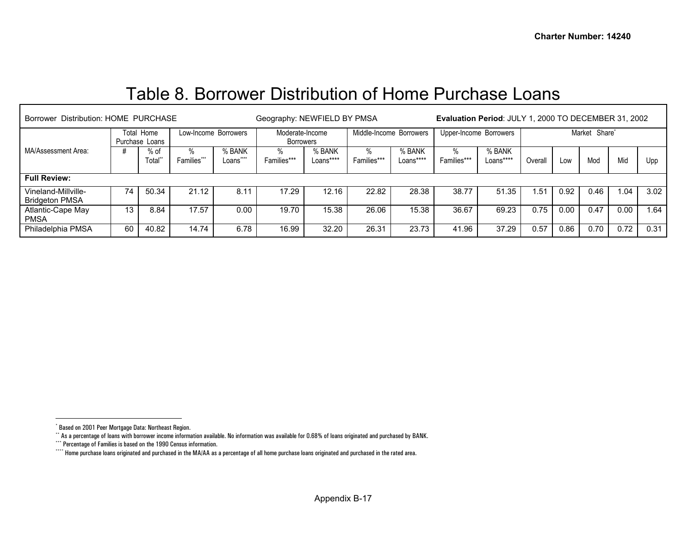## <span id="page-42-3"></span><span id="page-42-2"></span><span id="page-42-1"></span><span id="page-42-0"></span>Table 8. Borrower Distribution of Home Purchase Loans

| Borrower Distribution: HOME PURCHASE         |                              | Geography: NEWFIELD BY PMSA |                      |                  | <b>Evaluation Period: JULY 1, 2000 TO DECEMBER 31, 2002</b> |                     |                  |                         |                  |                        |         |      |               |      |      |
|----------------------------------------------|------------------------------|-----------------------------|----------------------|------------------|-------------------------------------------------------------|---------------------|------------------|-------------------------|------------------|------------------------|---------|------|---------------|------|------|
|                                              | Total Home<br>Purchase Loans |                             | Low-Income Borrowers |                  | Moderate-Income<br><b>Borrowers</b>                         |                     |                  | Middle-Income Borrowers |                  | Upper-Income Borrowers |         |      | Market Share* |      |      |
| MA/Assessment Area:                          |                              | $%$ of<br>Total*            | %<br>Families***     | % BANK<br>Loansî | Families***                                                 | % BANK<br>Loans**** | %<br>Families*** | % BANK<br>Loans****     | %<br>Families*** | % BANK<br>Loans****    | Overall | Low  | Mod           | Mid  | Upp  |
| <b>Full Review:</b>                          |                              |                             |                      |                  |                                                             |                     |                  |                         |                  |                        |         |      |               |      |      |
| Vineland-Millville-<br><b>Bridgeton PMSA</b> | 74                           | 50.34                       | 21.12                | 8.11             | 17.29                                                       | 12.16               | 22.82            | 28.38                   | 38.77            | 51.35                  | .51     | 0.92 | 0.46          | 1.04 | 3.02 |
| Atlantic-Cape May<br><b>PMSA</b>             | 13                           | 8.84                        | 17.57                | 0.00             | 19.70                                                       | 15.38               | 26.06            | 15.38                   | 36.67            | 69.23                  | 0.75    | 0.00 | 0.47          | 0.00 | .64  |
| Philadelphia PMSA                            | 60                           | 40.82                       | 14.74                | 6.78             | 16.99                                                       | 32.20               | 26.31            | 23.73                   | 41.96            | 37.29                  | 0.57    | 0.86 | 0.70          | 0.72 | 0.31 |

<sup>\*</sup> Based on 2001 Peer Mortgage Data: Northeast Region.

<sup>\*\*</sup> As a percentage of loans with borrower income information available. No information was available for 0.68% of loans originated and purchased by BANK.

<sup>\*\*\*</sup> Percentage of Families is based on the 1990 Census information.

<sup>\*\*\*\*</sup> Home purchase loans originated and purchased in the MA/AA as a percentage of all home purchase loans originated and purchased in the rated area.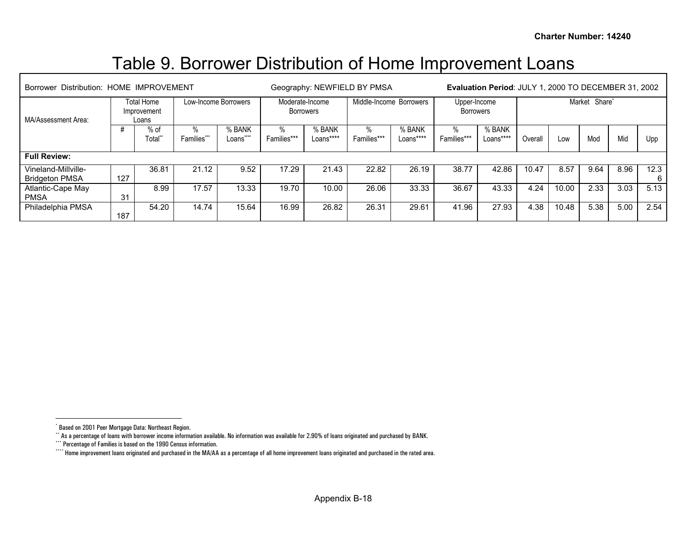## <span id="page-43-3"></span><span id="page-43-2"></span><span id="page-43-1"></span><span id="page-43-0"></span>Table 9. Borrower Distribution of Home Improvement Loans

| Distribution: HOME IMPROVEMENT<br><b>Borrower</b> |     |                                    | Geography: NEWFIELD BY PMSA | Evaluation Period: JULY 1, 2000 TO DECEMBER 31, 2002 |                              |                     |                  |                         |                           |                     |               |       |      |      |           |
|---------------------------------------------------|-----|------------------------------------|-----------------------------|------------------------------------------------------|------------------------------|---------------------|------------------|-------------------------|---------------------------|---------------------|---------------|-------|------|------|-----------|
| MA/Assessment Area:                               |     | Total Home<br>Improvement<br>Loans |                             | Low-Income Borrowers                                 | Moderate-Income<br>Borrowers |                     |                  | Middle-Income Borrowers | Upper-Income<br>Borrowers |                     | Market Share* |       |      |      |           |
|                                                   |     | % of<br>Total*                     | $\%$<br>Families***         | % BANK<br>Loans <sup>*</sup>                         | %<br>Families***             | % BANK<br>Loans**** | %<br>Families*** | % BANK<br>Loans****     | $\%$<br>Families***       | % BANK<br>Loans**** | Overall       | Low   | Mod  | Mid  | Upp       |
| <b>Full Review:</b>                               |     |                                    |                             |                                                      |                              |                     |                  |                         |                           |                     |               |       |      |      |           |
| Vineland-Millville-<br><b>Bridgeton PMSA</b>      | 127 | 36.81                              | 21.12                       | 9.52                                                 | 17.29                        | 21.43               | 22.82            | 26.19                   | 38.77                     | 42.86               | 10.47         | 8.57  | 9.64 | 8.96 | 12.3<br>6 |
| Atlantic-Cape May<br><b>PMSA</b>                  | 31  | 8.99                               | 17.57                       | 13.33                                                | 19.70                        | 10.00               | 26.06            | 33.33                   | 36.67                     | 43.33               | 4.24          | 10.00 | 2.33 | 3.03 | 5.13      |
| Philadelphia PMSA                                 | 187 | 54.20                              | 14.74                       | 15.64                                                | 16.99                        | 26.82               | 26.31            | 29.61                   | 41.96                     | 27.93               | 4.38          | 10.48 | 5.38 | 5.00 | 2.54      |

<sup>\*</sup> Based on 2001 Peer Mortgage Data: Northeast Region.

<sup>\*\*</sup> As a percentage of loans with borrower income information available. No information was available for 2.90% of loans originated and purchased by BANK.

<sup>\*\*\*</sup> Percentage of Families is based on the 1990 Census information.

<sup>\*\*\*\*</sup> Home improvement loans originated and purchased in the MA/AA as a percentage of all home improvement loans originated and purchased in the rated area.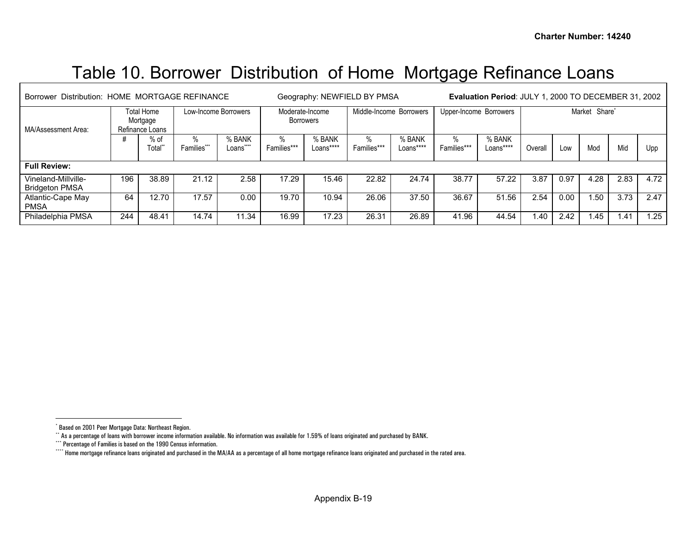# <span id="page-44-3"></span><span id="page-44-2"></span><span id="page-44-1"></span><span id="page-44-0"></span>Table 10. Borrower Distribution of Home Mortgage Refinance Loans

| Borrower Distribution: HOME MORTGAGE REFINANCE |     |                                           |                      |                    |                                     | Geography: NEWFIELD BY PMSA | <b>Evaluation Period: JULY 1, 2000 TO DECEMBER 31, 2002</b> |                         |                        |                     |         |      |               |                  |      |
|------------------------------------------------|-----|-------------------------------------------|----------------------|--------------------|-------------------------------------|-----------------------------|-------------------------------------------------------------|-------------------------|------------------------|---------------------|---------|------|---------------|------------------|------|
| MA/Assessment Area:                            |     | Total Home<br>Mortgage<br>Refinance Loans | Low-Income Borrowers |                    | Moderate-Income<br><b>Borrowers</b> |                             |                                                             | Middle-Income Borrowers | Upper-Income Borrowers |                     |         |      | Market Share* |                  |      |
|                                                |     | $%$ of<br>Total*                          | %<br>Families***     | % BANK<br>Loans*** | %<br>Families***                    | % BANK<br>Loans****         | %<br>Families***                                            | % BANK<br>Loans****     | $\%$<br>Families***    | % BANK<br>Loans**** | Overall | Low  | Mod           | Mid              | Upp  |
| <b>Full Review:</b>                            |     |                                           |                      |                    |                                     |                             |                                                             |                         |                        |                     |         |      |               |                  |      |
| Vineland-Millville-<br><b>Bridgeton PMSA</b>   | 196 | 38.89                                     | 21.12                | 2.58               | 17.29                               | 15.46                       | 22.82                                                       | 24.74                   | 38.77                  | 57.22               | 3.87    | 0.97 | 4.28          | 2.83             | 4.72 |
| Atlantic-Cape May<br><b>PMSA</b>               | 64  | 12.70                                     | 17.57                | 0.00               | 19.70                               | 10.94                       | 26.06                                                       | 37.50                   | 36.67                  | 51.56               | 2.54    | 0.00 | .50           | 3.73             | 2.47 |
| Philadelphia PMSA                              | 244 | 48.41                                     | 14.74                | 11.34              | 16.99                               | 17.23                       | 26.31                                                       | 26.89                   | 41.96                  | 44.54               | 1.40    | 2.42 | 1.45          | 1.4 <sup>4</sup> | 1.25 |

<sup>\*</sup> Based on 2001 Peer Mortgage Data: Northeast Region.

<sup>\*\*</sup> As a percentage of loans with borrower income information available. No information was available for 1.59% of loans originated and purchased by BANK.

<sup>\*\*\*</sup> Percentage of Families is based on the 1990 Census information.

<sup>\*\*\*\*</sup> Home mortgage refinance loans originated and purchased in the MA/AA as a percentage of all home mortgage refinance loans originated and purchased in the rated area.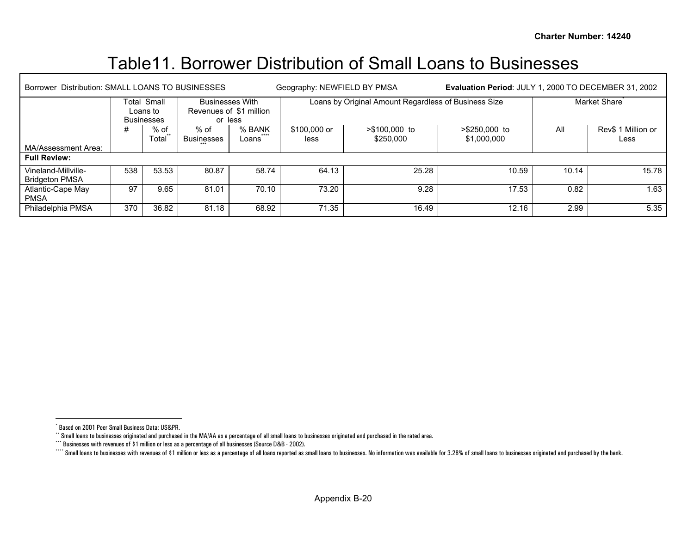## <span id="page-45-3"></span><span id="page-45-2"></span><span id="page-45-1"></span><span id="page-45-0"></span>Table11. Borrower Distribution of Small Loans to Businesses

| Distribution: SMALL LOANS TO BUSINESSES<br>Borrower |     |                                              |                    |                                                              | Geography: NEWFIELD BY PMSA |                                                      |                              | Evaluation Period: JULY 1, 2000 TO DECEMBER 31, 2002 |                            |  |  |
|-----------------------------------------------------|-----|----------------------------------------------|--------------------|--------------------------------------------------------------|-----------------------------|------------------------------------------------------|------------------------------|------------------------------------------------------|----------------------------|--|--|
|                                                     |     | Total Small<br>Loans to<br><b>Businesses</b> |                    | <b>Businesses With</b><br>Revenues of \$1 million<br>or less |                             | Loans by Original Amount Regardless of Business Size |                              | Market Share                                         |                            |  |  |
| MA/Assessment Area:                                 | #   | % of<br>Total                                | % of<br>Businesses | % BANK<br>Loans                                              | \$100,000 or<br>less        | >\$100,000 to<br>\$250,000                           | >\$250,000 to<br>\$1,000,000 | All                                                  | Rev\$ 1 Million or<br>Less |  |  |
| <b>Full Review:</b>                                 |     |                                              |                    |                                                              |                             |                                                      |                              |                                                      |                            |  |  |
| Vineland-Millville-<br><b>Bridgeton PMSA</b>        | 538 | 53.53                                        | 80.87              | 58.74                                                        | 64.13                       | 25.28                                                | 10.59                        | 10.14                                                | 15.78                      |  |  |
| Atlantic-Cape May<br><b>PMSA</b>                    | 97  | 9.65                                         | 81.01              | 70.10                                                        | 73.20                       | 9.28                                                 | 17.53                        | 0.82                                                 | 1.63                       |  |  |
| Philadelphia PMSA                                   | 370 | 36.82                                        | 81.18              | 68.92                                                        | 71.35                       | 16.49                                                | 12.16                        | 2.99                                                 | 5.35                       |  |  |

<sup>\*</sup> Based on 2001 Peer Small Business Data: US&PR.

\*\* Small loans to businesses originated and purchased in the MA/AA as a percentage of all small loans to businesses originated and purchased in the rated area.

<sup>\*\*\*</sup> Businesses with revenues of \$1 million or less as a percentage of all businesses (Source D&B - 2002).

<sup>&</sup>quot;" Small loans to businesses with revenues of \$1 million or less as a percentage of all loans reported as small loans to businesses. No information was available for 3.28% of small loans to businesses originated and purcha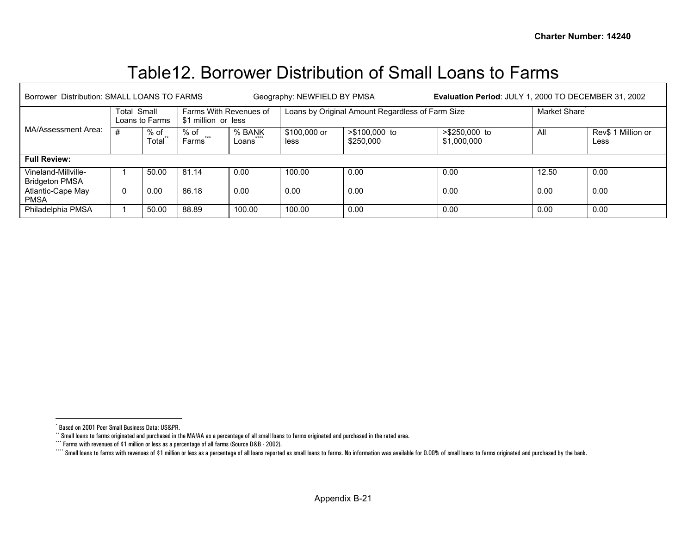## <span id="page-46-3"></span><span id="page-46-2"></span><span id="page-46-1"></span><span id="page-46-0"></span>Table12. Borrower Distribution of Small Loans to Farms

| Borrower Distribution: SMALL LOANS TO FARMS  |                                      |                 |                                                                                                 |        | Geography: NEWFIELD BY PMSA    |                                                  | Evaluation Period: JULY 1, 2000 TO DECEMBER 31, 2002 |       |      |  |
|----------------------------------------------|--------------------------------------|-----------------|-------------------------------------------------------------------------------------------------|--------|--------------------------------|--------------------------------------------------|------------------------------------------------------|-------|------|--|
|                                              | <b>Total Small</b><br>Loans to Farms |                 | Farms With Revenues of<br>\$1 million or less                                                   |        |                                | Loans by Original Amount Regardless of Farm Size | Market Share <sup>®</sup>                            |       |      |  |
| MA/Assessment Area:                          | #                                    | $%$ of<br>Total | >\$100,000 to<br>% of<br>% BANK<br>\$100,000 or<br>$***$<br>\$250,000<br>Farms<br>less<br>Loans |        | $> $250,000$ to<br>\$1,000,000 | All                                              | Rev\$ 1 Million or<br>Less                           |       |      |  |
| <b>Full Review:</b>                          |                                      |                 |                                                                                                 |        |                                |                                                  |                                                      |       |      |  |
| Vineland-Millville-<br><b>Bridgeton PMSA</b> |                                      | 50.00           | 81.14                                                                                           | 0.00   | 100.00                         | 0.00                                             | 0.00                                                 | 12.50 | 0.00 |  |
| Atlantic-Cape May<br><b>PMSA</b>             | 0                                    | 0.00            | 86.18                                                                                           | 0.00   | 0.00                           | 0.00                                             | 0.00                                                 | 0.00  | 0.00 |  |
| Philadelphia PMSA                            |                                      | 50.00           | 88.89                                                                                           | 100.00 | 100.00                         | 0.00                                             | 0.00                                                 | 0.00  | 0.00 |  |

Г

<sup>\*</sup> Based on 2001 Peer Small Business Data: US&PR.

\*\* Small loans to farms originated and purchased in the MA/AA as a percentage of all small loans to farms originated and purchased in the rated area.

<sup>\*\*\*</sup> Farms with revenues of \$1 million or less as a percentage of all farms (Source D&B - 2002).

<sup>&</sup>quot;" Small loans to farms with revenues of \$1 million or less as a percentage of all loans reported as small loans to farms. No information was available for 0.00% of small loans to farms originated and purchased by the bank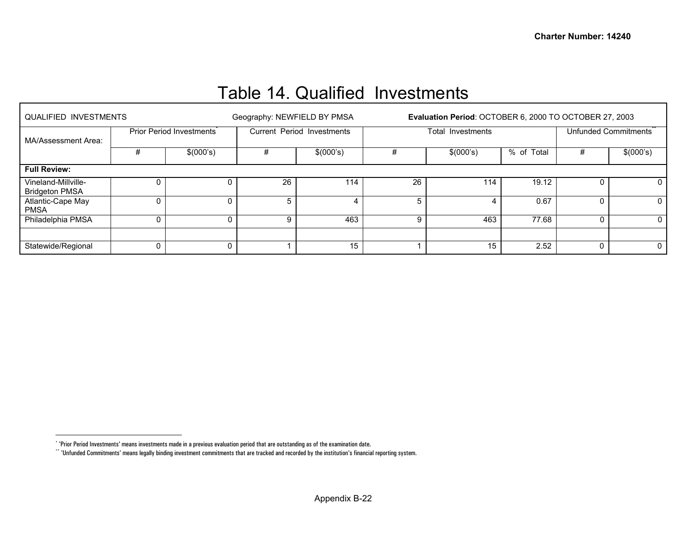## Table 14. Qualified Investments

<span id="page-47-1"></span><span id="page-47-0"></span>

| <b>QUALIFIED INVESTMENTS</b>                 |   |                          |    | Geography: NEWFIELD BY PMSA |    | Evaluation Period: OCTOBER 6, 2000 TO OCTOBER 27, 2003 |            |                      |           |  |
|----------------------------------------------|---|--------------------------|----|-----------------------------|----|--------------------------------------------------------|------------|----------------------|-----------|--|
| MA/Assessment Area:                          |   | Prior Period Investments |    | Current Period Investments  |    | Total Investments                                      |            | Unfunded Commitments |           |  |
|                                              | # | \$(000's)                | #  | \$(000's)                   |    | \$(000's)                                              | % of Total | #                    | \$(000's) |  |
| <b>Full Review:</b>                          |   |                          |    |                             |    |                                                        |            |                      |           |  |
| Vineland-Millville-<br><b>Bridgeton PMSA</b> | 0 | 0                        | 26 | 114                         | 26 | 114                                                    | 19.12      |                      | 0         |  |
| Atlantic-Cape May<br><b>PMSA</b>             | 0 | 0                        | 5  |                             | 5  |                                                        | 0.67       | 0                    |           |  |
| Philadelphia PMSA                            | 0 | 0                        |    | 463                         | 9  | 463                                                    | 77.68      | $\mathbf{0}$         |           |  |
|                                              |   |                          |    |                             |    |                                                        |            |                      |           |  |
| Statewide/Regional                           |   | 0                        |    | 15                          |    | 15                                                     | 2.52       | 0                    | 0         |  |

<sup>\* &#</sup>x27;Prior Period Investments' means investments made in a previous evaluation period that are outstanding as of the examination date.

<sup>\*\* &#</sup>x27;Unfunded Commitments' means legally binding investment commitments that are tracked and recorded by the institution's financial reporting system.